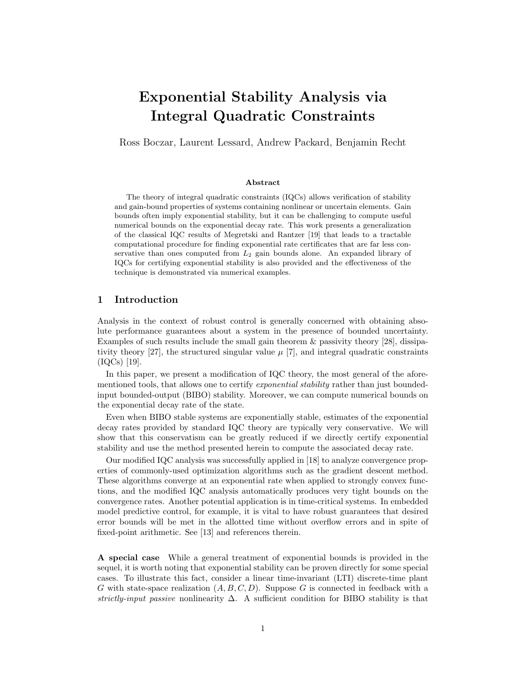# Exponential Stability Analysis via Integral Quadratic Constraints

Ross Boczar, Laurent Lessard, Andrew Packard, Benjamin Recht

#### Abstract

The theory of integral quadratic constraints (IQCs) allows verification of stability and gain-bound properties of systems containing nonlinear or uncertain elements. Gain bounds often imply exponential stability, but it can be challenging to compute useful numerical bounds on the exponential decay rate. This work presents a generalization of the classical IQC results of Megretski and Rantzer [\[19\]](#page-26-0) that leads to a tractable computational procedure for finding exponential rate certificates that are far less conservative than ones computed from  $L_2$  gain bounds alone. An expanded library of IQCs for certifying exponential stability is also provided and the effectiveness of the technique is demonstrated via numerical examples.

# 1 Introduction

Analysis in the context of robust control is generally concerned with obtaining absolute performance guarantees about a system in the presence of bounded uncertainty. Examples of such results include the small gain theorem & passivity theory [\[28\]](#page-27-0), dissipa-tivity theory [\[27\]](#page-27-1), the structured singular value  $\mu$  [\[7\]](#page-26-1), and integral quadratic constraints (IQCs) [\[19\]](#page-26-0).

In this paper, we present a modification of IQC theory, the most general of the aforementioned tools, that allows one to certify *exponential stability* rather than just boundedinput bounded-output (BIBO) stability. Moreover, we can compute numerical bounds on the exponential decay rate of the state.

Even when BIBO stable systems are exponentially stable, estimates of the exponential decay rates provided by standard IQC theory are typically very conservative. We will show that this conservatism can be greatly reduced if we directly certify exponential stability and use the method presented herein to compute the associated decay rate.

Our modified IQC analysis was successfully applied in [\[18\]](#page-26-2) to analyze convergence properties of commonly-used optimization algorithms such as the gradient descent method. These algorithms converge at an exponential rate when applied to strongly convex functions, and the modified IQC analysis automatically produces very tight bounds on the convergence rates. Another potential application is in time-critical systems. In embedded model predictive control, for example, it is vital to have robust guarantees that desired error bounds will be met in the allotted time without overflow errors and in spite of fixed-point arithmetic. See [\[13\]](#page-26-3) and references therein.

A special case While a general treatment of exponential bounds is provided in the sequel, it is worth noting that exponential stability can be proven directly for some special cases. To illustrate this fact, consider a linear time-invariant (LTI) discrete-time plant G with state-space realization  $(A, B, C, D)$ . Suppose G is connected in feedback with a strictly-input passive nonlinearity  $\Delta$ . A sufficient condition for BIBO stability is that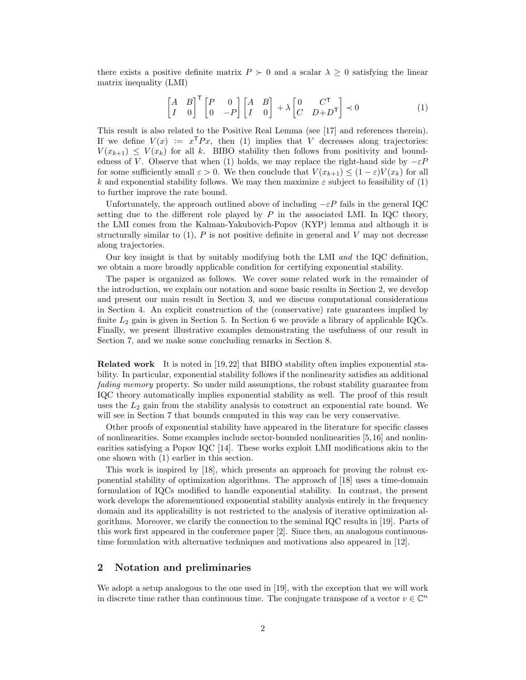there exists a positive definite matrix  $P \succ 0$  and a scalar  $\lambda \geq 0$  satisfying the linear matrix inequality (LMI)

<span id="page-1-0"></span>
$$
\begin{bmatrix} A & B \\ I & 0 \end{bmatrix}^{\mathsf{T}} \begin{bmatrix} P & 0 \\ 0 & -P \end{bmatrix} \begin{bmatrix} A & B \\ I & 0 \end{bmatrix} + \lambda \begin{bmatrix} 0 & C^{\mathsf{T}} \\ C & D+D^{\mathsf{T}} \end{bmatrix} \prec 0 \tag{1}
$$

This result is also related to the Positive Real Lemma (see [\[17\]](#page-26-4) and references therein). If we define  $V(x) := x^{\mathsf{T}} Px$ , then [\(1\)](#page-1-0) implies that V decreases along trajectories:  $V(x_{k+1}) \leq V(x_k)$  for all k. BIBO stability then follows from positivity and bound-edness of V. Observe that when [\(1\)](#page-1-0) holds, we may replace the right-hand side by  $-\varepsilon P$ for some sufficiently small  $\varepsilon > 0$ . We then conclude that  $V(x_{k+1}) \leq (1-\varepsilon)V(x_k)$  for all k and exponential stability follows. We may then maximize  $\varepsilon$  subject to feasibility of [\(1\)](#page-1-0) to further improve the rate bound.

Unfortunately, the approach outlined above of including  $-\varepsilon P$  fails in the general IQC setting due to the different role played by  $P$  in the associated LMI. In IQC theory, the LMI comes from the Kalman-Yakubovich-Popov (KYP) lemma and although it is structurally similar to  $(1)$ , P is not positive definite in general and V may not decrease along trajectories.

Our key insight is that by suitably modifying both the LMI and the IQC definition, we obtain a more broadly applicable condition for certifying exponential stability.

The paper is organized as follows. We cover some related work in the remainder of the introduction, we explain our notation and some basic results in Section [2,](#page-1-1) we develop and present our main result in Section [3,](#page-3-0) and we discuss computational considerations in Section [4.](#page-5-0) An explicit construction of the (conservative) rate guarantees implied by finite  $L_2$  gain is given in Section [5.](#page-7-0) In Section [6](#page-10-0) we provide a library of applicable IQCs. Finally, we present illustrative examples demonstrating the usefulness of our result in Section [7,](#page-14-0) and we make some concluding remarks in Section [8.](#page-18-0)

Related work It is noted in [\[19,](#page-26-0) [22\]](#page-26-5) that BIBO stability often implies exponential stability. In particular, exponential stability follows if the nonlinearity satisfies an additional fading memory property. So under mild assumptions, the robust stability guarantee from IQC theory automatically implies exponential stability as well. The proof of this result uses the  $L_2$  gain from the stability analysis to construct an exponential rate bound. We will see in Section [7](#page-14-0) that bounds computed in this way can be very conservative.

Other proofs of exponential stability have appeared in the literature for specific classes of nonlinearities. Some examples include sector-bounded nonlinearities [\[5,](#page-26-6)[16\]](#page-26-7) and nonlinearities satisfying a Popov IQC [\[14\]](#page-26-8). These works exploit LMI modifications akin to the one shown with [\(1\)](#page-1-0) earlier in this section.

This work is inspired by [\[18\]](#page-26-2), which presents an approach for proving the robust exponential stability of optimization algorithms. The approach of [\[18\]](#page-26-2) uses a time-domain formulation of IQCs modified to handle exponential stability. In contrast, the present work develops the aforementioned exponential stability analysis entirely in the frequency domain and its applicability is not restricted to the analysis of iterative optimization algorithms. Moreover, we clarify the connection to the seminal IQC results in [\[19\]](#page-26-0). Parts of this work first appeared in the conference paper [\[2\]](#page-25-0). Since then, an analogous continuoustime formulation with alternative techniques and motivations also appeared in [\[12\]](#page-26-9).

# <span id="page-1-1"></span>2 Notation and preliminaries

We adopt a setup analogous to the one used in [\[19\]](#page-26-0), with the exception that we will work in discrete time rather than continuous time. The conjugate transpose of a vector  $v \in \mathbb{C}^n$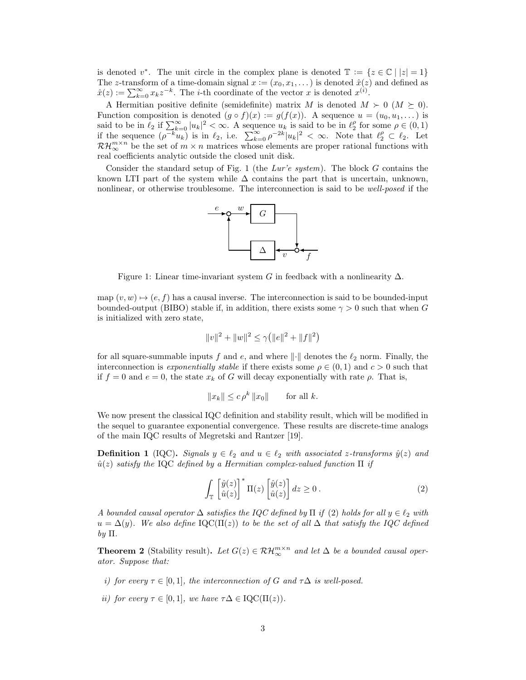is denoted  $v^*$ . The unit circle in the complex plane is denoted  $\mathbb{T} := \{z \in \mathbb{C} \mid |z| = 1\}$ The z-transform of a time-domain signal  $x := (x_0, x_1, \dots)$  is denoted  $\hat{x}(z)$  and defined as  $\hat{x}(z) := \sum_{k=0}^{\infty} x_k z^{-k}$ . The *i*-th coordinate of the vector x is denoted  $x^{(i)}$ .

A Hermitian positive definite (semidefinite) matrix M is denoted  $M \succ 0$  ( $M \succeq 0$ ). Function composition is denoted  $(g \circ f)(x) := g(f(x))$ . A sequence  $u = (u_0, u_1, \dots)$  is said to be in  $\ell_2$  if  $\sum_{k=0}^{\infty} |u_k|^2 < \infty$ . A sequence  $u_k$  is said to be in  $\ell_2^{\rho}$  for some  $\rho \in (0, 1)$ if the sequence  $(\rho^{-k}u_k)$  is in  $\ell_2$ , i.e.  $\sum_{k=0}^{\infty} \rho^{-2k} |u_k|^2 < \infty$ . Note that  $\ell_2^{\rho} \subset \ell_2$ . Let  $\mathcal{RH}_{\infty}^{m\times n}$  be the set of  $m\times n$  matrices whose elements are proper rational functions with real coefficients analytic outside the closed unit disk.

Consider the standard setup of Fig. [1](#page-2-0) (the Lur'e system). The block  $G$  contains the known LTI part of the system while  $\Delta$  contains the part that is uncertain, unknown, nonlinear, or otherwise troublesome. The interconnection is said to be well-posed if the



<span id="page-2-0"></span>Figure 1: Linear time-invariant system G in feedback with a nonlinearity  $\Delta$ .

map  $(v, w) \mapsto (e, f)$  has a causal inverse. The interconnection is said to be bounded-input bounded-output (BIBO) stable if, in addition, there exists some  $\gamma > 0$  such that when G is initialized with zero state,

$$
||v||^2 + ||w||^2 \le \gamma (||e||^2 + ||f||^2)
$$

for all square-summable inputs f and e, and where  $\|\cdot\|$  denotes the  $\ell_2$  norm. Finally, the interconnection is exponentially stable if there exists some  $\rho \in (0,1)$  and  $c > 0$  such that if  $f = 0$  and  $e = 0$ , the state  $x_k$  of G will decay exponentially with rate  $\rho$ . That is,

$$
||x_k|| \le c \rho^k ||x_0|| \quad \text{for all } k.
$$

We now present the classical IQC definition and stability result, which will be modified in the sequel to guarantee exponential convergence. These results are discrete-time analogs of the main IQC results of Megretski and Rantzer [\[19\]](#page-26-0).

<span id="page-2-2"></span>**Definition 1** (IQC). Signals  $y \in \ell_2$  and  $u \in \ell_2$  with associated z-transforms  $\hat{y}(z)$  and  $\hat{u}(z)$  satisfy the IQC defined by a Hermitian complex-valued function  $\Pi$  if

<span id="page-2-1"></span>
$$
\int_{\mathbb{T}} \left[ \hat{y}(z) \right]^* \Pi(z) \left[ \hat{y}(z) \right] dz \ge 0.
$$
\n(2)

A bounded causal operator  $\Delta$  satisfies the IQC defined by  $\Pi$  if [\(2\)](#page-2-1) holds for all  $y \in \ell_2$  with  $u = \Delta(y)$ . We also define IQC( $\Pi(z)$ ) to be the set of all  $\Delta$  that satisfy the IQC defined by  $\Pi$ .

<span id="page-2-3"></span>**Theorem 2** (Stability result). Let  $G(z) \in \mathcal{RH}_{\infty}^{m \times n}$  and let  $\Delta$  be a bounded causal operator. Suppose that:

- i) for every  $\tau \in [0,1]$ , the interconnection of G and  $\tau \Delta$  is well-posed.
- ii) for every  $\tau \in [0,1]$ , we have  $\tau \Delta \in \mathrm{IQC}(\Pi(z))$ .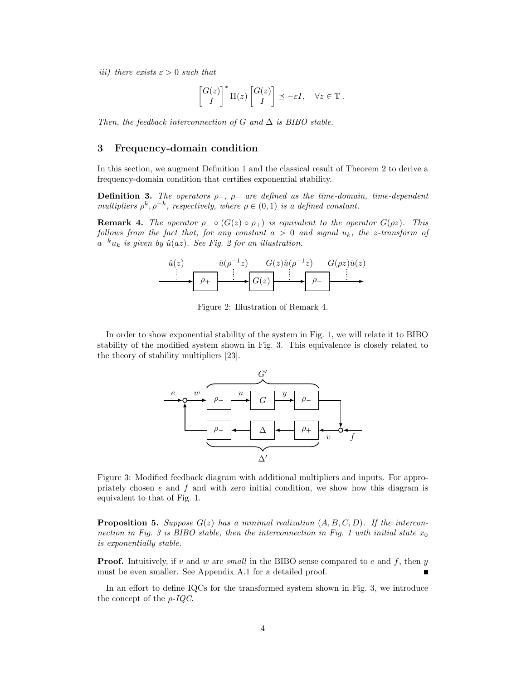iii) there exists  $\varepsilon > 0$  such that

$$
\begin{bmatrix} G(z) \\ I \end{bmatrix}^* \Pi(z) \begin{bmatrix} G(z) \\ I \end{bmatrix} \preceq -\varepsilon I, \quad \forall z \in \mathbb{T}.
$$

Then, the feedback interconnection of G and  $\Delta$  is BIBO stable.

## <span id="page-3-0"></span>3 Frequency-domain condition

In this section, we augment Definition [1](#page-2-2) and the classical result of Theorem [2](#page-2-3) to derive a frequency-domain condition that certifies exponential stability.

**Definition 3.** The operators  $\rho_+$ ,  $\rho_-$  are defined as the time-domain, time-dependent multipliers  $\rho^k$ ,  $\rho^{-k}$ , respectively, where  $\rho \in (0,1)$  is a defined constant.

<span id="page-3-2"></span>**Remark 4.** The operator  $\rho_-\circ (G(z) \circ \rho_+)$  is equivalent to the operator  $G(\rho z)$ . This follows from the fact that, for any constant  $a > 0$  and signal  $u_k$ , the z-transform of  $a^{-k}u_k$  is given by  $\hat{u}(az)$ . See Fig. [2](#page-3-1) for an illustration.



<span id="page-3-1"></span>Figure 2: Illustration of Remark [4.](#page-3-2)

In order to show exponential stability of the system in Fig. [1,](#page-2-0) we will relate it to BIBO stability of the modified system shown in Fig. [3.](#page-3-3) This equivalence is closely related to the theory of stability multipliers [\[23\]](#page-26-10).



<span id="page-3-3"></span>Figure 3: Modified feedback diagram with additional multipliers and inputs. For appropriately chosen  $e$  and  $f$  and with zero initial condition, we show how this diagram is equivalent to that of Fig. [1.](#page-2-0)

<span id="page-3-4"></span>**Proposition 5.** Suppose  $G(z)$  has a minimal realization  $(A, B, C, D)$ . If the intercon-nection in Fig. [3](#page-3-3) is BIBO stable, then the interconnection in Fig. [1](#page-2-0) with initial state  $x_0$ is exponentially stable.

**Proof.** Intuitively, if v and w are small in the BIBO sense compared to e and f, then y must be even smaller. See Appendix [A.1](#page-18-1) for a detailed proof.

<span id="page-3-5"></span>In an effort to define IQCs for the transformed system shown in Fig. [3,](#page-3-3) we introduce the concept of the  $\rho$ -IQC.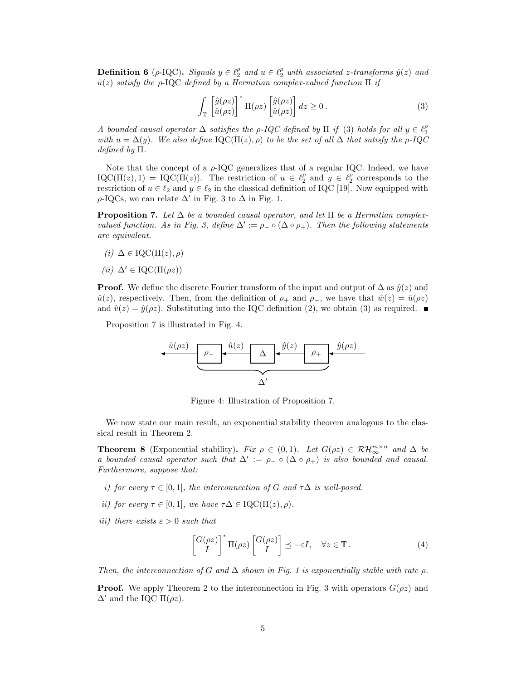**Definition 6** ( $\rho$ -IQC). Signals  $y \in \ell_2^{\rho}$  and  $u \in \ell_2^{\rho}$  with associated z-transforms  $\hat{y}(z)$  and  $\hat{u}(z)$  satisfy the ρ-IQC defined by a Hermitian complex-valued function  $\Pi$  if

<span id="page-4-0"></span>
$$
\int_{\mathbb{T}} \left[ \hat{y}(\rho z) \right]^* \Pi(\rho z) \left[ \hat{y}(\rho z) \right] dz \ge 0.
$$
\n(3)

A bounded causal operator  $\Delta$  satisfies the ρ-IQC defined by  $\Pi$  if [\(3\)](#page-4-0) holds for all  $y \in \ell_2^{\rho}$ with  $u = \Delta(y)$ . We also define IQC( $\Pi(z), \rho$ ) to be the set of all  $\Delta$  that satisfy the  $\rho$ -IQC defined by Π.

Note that the concept of a  $\rho$ -IQC generalizes that of a regular IQC. Indeed, we have  $\text{IQC}(\Pi(z), 1) = \text{IQC}(\Pi(z))$ . The restriction of  $u \in \ell_2^{\rho}$  and  $y \in \ell_2^{\rho}$  corresponds to the restriction of  $u \in \ell_2$  and  $y \in \ell_2$  in the classical definition of IQC [\[19\]](#page-26-0). Now equipped with  $\rho$ -IQCs, we can relate  $\Delta'$  in Fig. [3](#page-3-3) to  $\Delta$  in Fig. [1.](#page-2-0)

<span id="page-4-1"></span>**Proposition 7.** Let  $\Delta$  be a bounded causal operator, and let  $\Pi$  be a Hermitian complex-valued function. As in Fig. [3,](#page-3-3) define  $\Delta' := \rho_- \circ (\Delta \circ \rho_+)$ . Then the following statements are equivalent.

- (i)  $\Delta \in \text{IQC}(\Pi(z), \rho)$
- (ii)  $\Delta' \in \text{IQC}(\Pi(\rho z))$

**Proof.** We define the discrete Fourier transform of the input and output of  $\Delta$  as  $\hat{y}(z)$  and  $\hat{u}(z)$ , respectively. Then, from the definition of  $\rho_+$  and  $\rho_-,$ , we have that  $\hat{w}(z) = \hat{u}(\rho z)$ and  $\hat{v}(z) = \hat{y}(\rho z)$ . Substituting into the IQC definition [\(2\)](#page-2-1), we obtain [\(3\)](#page-4-0) as required.

Proposition [7](#page-4-1) is illustrated in Fig. [4.](#page-4-2)



<span id="page-4-2"></span>Figure 4: Illustration of Proposition [7.](#page-4-1)

We now state our main result, an exponential stability theorem analogous to the classical result in Theorem [2.](#page-2-3)

<span id="page-4-4"></span>**Theorem 8** (Exponential stability). Fix  $\rho \in (0,1)$ . Let  $G(\rho z) \in \mathcal{RH}_{\infty}^{m \times n}$  and  $\Delta$  be a bounded causal operator such that  $\Delta' := \rho_-\circ(\Delta\circ\rho_+)$  is also bounded and causal. Furthermore, suppose that:

- i) for every  $\tau \in [0,1]$ , the interconnection of G and  $\tau \Delta$  is well-posed.
- ii) for every  $\tau \in [0,1]$ , we have  $\tau \Delta \in \mathrm{IQC}(\Pi(z), \rho)$ .
- iii) there exists  $\varepsilon > 0$  such that

<span id="page-4-3"></span>
$$
\begin{bmatrix} G(\rho z) \\ I \end{bmatrix}^* \Pi(\rho z) \begin{bmatrix} G(\rho z) \\ I \end{bmatrix} \preceq -\varepsilon I, \quad \forall z \in \mathbb{T} . \tag{4}
$$

Then, the interconnection of G and  $\Delta$  shown in Fig. [1](#page-2-0) is exponentially stable with rate  $\rho$ .

**Proof.** We apply Theorem [2](#page-2-3) to the interconnection in Fig. [3](#page-3-3) with operators  $G(\rho z)$  and  $\Delta'$  and the IQC Π( $ρz$ ).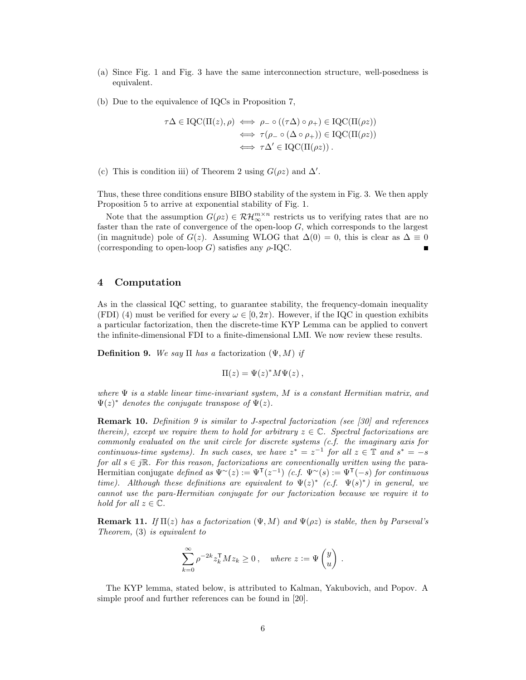- (a) Since Fig. [1](#page-2-0) and Fig. [3](#page-3-3) have the same interconnection structure, well-posedness is equivalent.
- (b) Due to the equivalence of IQCs in Proposition [7,](#page-4-1)

$$
\tau\Delta \in \text{IQC}(\Pi(z), \rho) \iff \rho_{-} \circ ((\tau\Delta) \circ \rho_{+}) \in \text{IQC}(\Pi(\rho z))
$$

$$
\iff \tau(\rho_{-} \circ (\Delta \circ \rho_{+})) \in \text{IQC}(\Pi(\rho z))
$$

$$
\iff \tau\Delta' \in \text{IQC}(\Pi(\rho z)) .
$$

(c) This is condition iii) of Theorem [2](#page-2-3) using  $G(\rho z)$  and  $\Delta'$ .

Thus, these three conditions ensure BIBO stability of the system in Fig. [3.](#page-3-3) We then apply Proposition [5](#page-3-4) to arrive at exponential stability of Fig. [1.](#page-2-0)

Note that the assumption  $G(\rho z) \in \mathcal{RH}_{\infty}^{m \times n}$  restricts us to verifying rates that are no faster than the rate of convergence of the open-loop  $G$ , which corresponds to the largest (in magnitude) pole of  $G(z)$ . Assuming WLOG that  $\Delta(0) = 0$ , this is clear as  $\Delta \equiv 0$ (corresponding to open-loop G) satisfies any  $\rho$ -IQC.

# <span id="page-5-0"></span>4 Computation

As in the classical IQC setting, to guarantee stability, the frequency-domain inequality (FDI) [\(4\)](#page-4-3) must be verified for every  $\omega \in [0, 2\pi)$ . However, if the IQC in question exhibits a particular factorization, then the discrete-time KYP Lemma can be applied to convert the infinite-dimensional FDI to a finite-dimensional LMI. We now review these results.

<span id="page-5-1"></span>Definition 9. We say  $\Pi$  has a factorization  $(\Psi, M)$  if

$$
\Pi(z) = \Psi(z)^* M \Psi(z) ,
$$

where  $\Psi$  is a stable linear time-invariant system, M is a constant Hermitian matrix, and  $\Psi(z)^*$  denotes the conjugate transpose of  $\Psi(z)$ .

Remark 10. Definition [9](#page-5-1) is similar to J-spectral factorization (see [\[30\]](#page-27-2) and references therein), except we require them to hold for arbitrary  $z \in \mathbb{C}$ . Spectral factorizations are commonly evaluated on the unit circle for discrete systems (c.f. the imaginary axis for continuous-time systems). In such cases, we have  $z^* = z^{-1}$  for all  $z \in \mathbb{T}$  and  $s^* = -s$ for all  $s \in j\mathbb{R}$ . For this reason, factorizations are conventionally written using the para-Hermitian conjugate defined as  $\Psi^{\sim}(z) := \Psi^{\mathsf{T}}(z^{-1})$  (c.f.  $\Psi^{\sim}(s) := \Psi^{\mathsf{T}}(-s)$  for continuous time). Although these definitions are equivalent to  $\Psi(z)^*$  (c.f.  $\Psi(s)^*$ ) in general, we cannot use the para-Hermitian conjugate for our factorization because we require it to hold for all  $z \in \mathbb{C}$ .

<span id="page-5-3"></span>**Remark 11.** If  $\Pi(z)$  has a factorization  $(\Psi, M)$  and  $\Psi(\rho z)$  is stable, then by Parseval's Theorem, [\(3\)](#page-4-0) is equivalent to

$$
\sum_{k=0}^{\infty} \rho^{-2k} z_k^{\mathsf{T}} M z_k \ge 0 , \quad \text{where } z := \Psi \begin{pmatrix} y \\ u \end{pmatrix} .
$$

<span id="page-5-2"></span>The KYP lemma, stated below, is attributed to Kalman, Yakubovich, and Popov. A simple proof and further references can be found in [\[20\]](#page-26-11).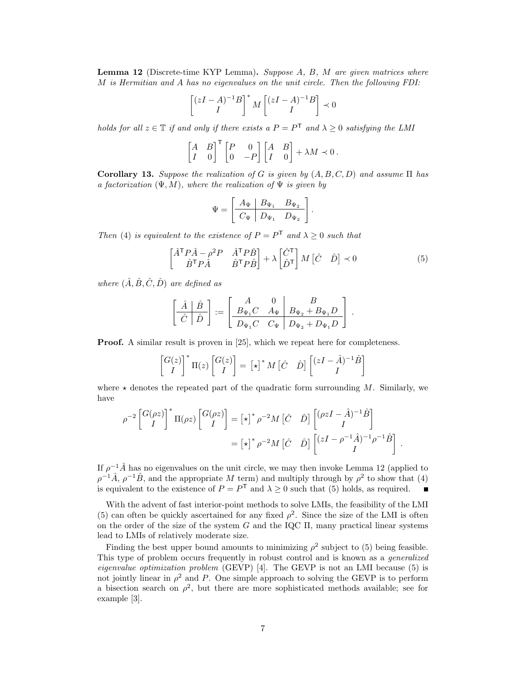Lemma 12 (Discrete-time KYP Lemma). Suppose A, B, M are given matrices where M is Hermitian and A has no eigenvalues on the unit circle. Then the following FDI:

$$
\left[\binom{zI-A}{I}^{-1}B\right]^* M \left[\binom{zI-A}{I}^{-1}B\right] \prec 0
$$

holds for all  $z \in \mathbb{T}$  if and only if there exists a  $P = P^{\mathsf{T}}$  and  $\lambda \geq 0$  satisfying the LMI

$$
\begin{bmatrix} A & B \\ I & 0 \end{bmatrix}^{\mathsf{T}} \begin{bmatrix} P & 0 \\ 0 & -P \end{bmatrix} \begin{bmatrix} A & B \\ I & 0 \end{bmatrix} + \lambda M \prec 0.
$$

Corollary 13. Suppose the realization of G is given by  $(A, B, C, D)$  and assume  $\Pi$  has a factorization  $(\Psi, M)$ , where the realization of  $\Psi$  is given by

$$
\Psi = \begin{bmatrix} A_{\Psi} & B_{\Psi_1} & B_{\Psi_2} \\ C_{\Psi} & D_{\Psi_1} & D_{\Psi_2} \end{bmatrix}
$$

Then [\(4\)](#page-4-3) is equivalent to the existence of  $P = P<sup>T</sup>$  and  $\lambda \ge 0$  such that

$$
\begin{bmatrix} \hat{A}^{\mathsf{T}} P \hat{A} - \rho^2 P & \hat{A}^{\mathsf{T}} P \hat{B} \\ \hat{B}^{\mathsf{T}} P \hat{A} & \hat{B}^{\mathsf{T}} P \hat{B} \end{bmatrix} + \lambda \begin{bmatrix} \hat{C}^{\mathsf{T}} \\ \hat{D}^{\mathsf{T}} \end{bmatrix} M \begin{bmatrix} \hat{C} & \hat{D} \end{bmatrix} \prec 0 \tag{5}
$$

<span id="page-6-0"></span>.

where  $(\hat{A}, \hat{B}, \hat{C}, \hat{D})$  are defined as

$$
\left[\begin{array}{c|c}\n\hat{A} & \hat{B} \\
\hline\n\hat{C} & \hat{D}\n\end{array}\right] := \left[\begin{array}{cc|c}\nA & 0 & B \\
B_{\Psi_1}C & A_{\Psi} & B_{\Psi_2} + B_{\Psi_1}D \\
\hline\nD_{\Psi_1}C & C_{\Psi} & D_{\Psi_2} + D_{\Psi_1}D\n\end{array}\right] .
$$

**Proof.** A similar result is proven in [\[25\]](#page-27-3), which we repeat here for completeness.

$$
\begin{bmatrix} G(z) \\ I \end{bmatrix}^* \Pi(z) \begin{bmatrix} G(z) \\ I \end{bmatrix} = [\star]^* M \begin{bmatrix} \hat{C} & \hat{D} \end{bmatrix} \begin{bmatrix} (zI - \hat{A})^{-1} \hat{B} \\ I \end{bmatrix}
$$

where  $\star$  denotes the repeated part of the quadratic form surrounding M. Similarly, we have

$$
\rho^{-2} \begin{bmatrix} G(\rho z) \\ I \end{bmatrix}^* \Pi(\rho z) \begin{bmatrix} G(\rho z) \\ I \end{bmatrix} = [\star]^* \rho^{-2} M \begin{bmatrix} \hat{C} & \hat{D} \end{bmatrix} \begin{bmatrix} (\rho z I - \hat{A})^{-1} \hat{B} \\ I \end{bmatrix}
$$

$$
= [\star]^* \rho^{-2} M \begin{bmatrix} \hat{C} & \hat{D} \end{bmatrix} \begin{bmatrix} (zI - \rho^{-1} \hat{A})^{-1} \rho^{-1} \hat{B} \\ I \end{bmatrix}.
$$

If  $\rho^{-1}\hat{A}$  has no eigenvalues on the unit circle, we may then invoke Lemma [12](#page-5-2) (applied to  $\rho^{-1}\hat{A}$ ,  $\rho^{-1}\hat{B}$ , and the appropriate M term) and multiply through by  $\rho^2$  to show that [\(4\)](#page-4-3) is equivalent to the existence of  $P = P<sup>T</sup>$  and  $\lambda \ge 0$  such that [\(5\)](#page-6-0) holds, as required.

With the advent of fast interior-point methods to solve LMIs, the feasibility of the LMI [\(5\)](#page-6-0) can often be quickly ascertained for any fixed  $\rho^2$ . Since the size of the LMI is often on the order of the size of the system G and the IQC  $\Pi$ , many practical linear systems lead to LMIs of relatively moderate size.

Finding the best upper bound amounts to minimizing  $\rho^2$  subject to [\(5\)](#page-6-0) being feasible. This type of problem occurs frequently in robust control and is known as a generalized eigenvalue optimization problem (GEVP) [\[4\]](#page-26-12). The GEVP is not an LMI because [\(5\)](#page-6-0) is not jointly linear in  $\rho^2$  and P. One simple approach to solving the GEVP is to perform a bisection search on  $\rho^2$ , but there are more sophisticated methods available; see for example [\[3\]](#page-25-1).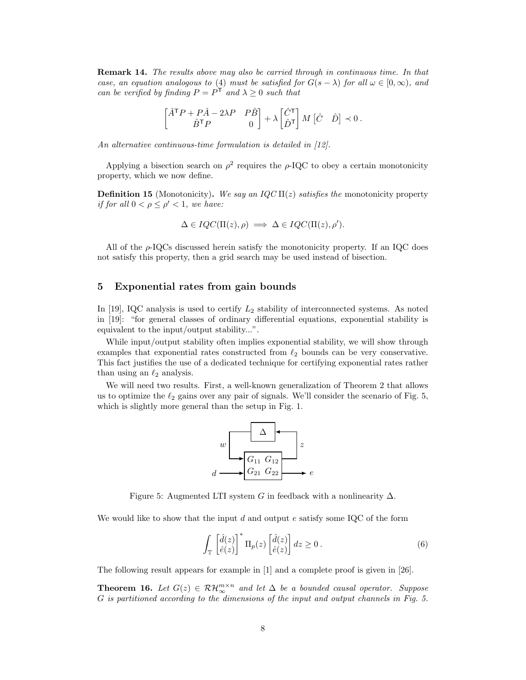Remark 14. The results above may also be carried through in continuous time. In that case, an equation analogous to [\(4\)](#page-4-3) must be satisfied for  $G(s - \lambda)$  for all  $\omega \in [0, \infty)$ , and can be verified by finding  $P = P^{\mathsf{T}}$  and  $\lambda \geq 0$  such that

$$
\begin{bmatrix} \hat{A}^{\mathsf{T}} P + P \hat{A} - 2\lambda P & P \hat{B} \\ \hat{B}^{\mathsf{T}} P & 0 \end{bmatrix} + \lambda \begin{bmatrix} \hat{C}^{\mathsf{T}} \\ \hat{D}^{\mathsf{T}} \end{bmatrix} M \begin{bmatrix} \hat{C} & \hat{D} \end{bmatrix} \prec 0.
$$

An alternative continuous-time formulation is detailed in [\[12\]](#page-26-9).

Applying a bisection search on  $\rho^2$  requires the  $\rho$ -IQC to obey a certain monotonicity property, which we now define.

**Definition 15** (Monotonicity). We say an IQC  $\Pi(z)$  satisfies the monotonicity property if for all  $0 < \rho \leq \rho' < 1$ , we have:

$$
\Delta \in IQC(\Pi(z), \rho) \implies \Delta \in IQC(\Pi(z), \rho').
$$

All of the  $\rho$ -IQCs discussed herein satisfy the monotonicity property. If an IQC does not satisfy this property, then a grid search may be used instead of bisection.

## <span id="page-7-0"></span>5 Exponential rates from gain bounds

In [\[19\]](#page-26-0), IQC analysis is used to certify  $L_2$  stability of interconnected systems. As noted in [\[19\]](#page-26-0): "for general classes of ordinary differential equations, exponential stability is equivalent to the input/output stability...".

While input/output stability often implies exponential stability, we will show through examples that exponential rates constructed from  $\ell_2$  bounds can be very conservative. This fact justifies the use of a dedicated technique for certifying exponential rates rather than using an  $\ell_2$  analysis.

We will need two results. First, a well-known generalization of Theorem [2](#page-2-3) that allows us to optimize the  $\ell_2$  gains over any pair of signals. We'll consider the scenario of Fig. [5,](#page-7-1) which is slightly more general than the setup in Fig. [1.](#page-2-0)



<span id="page-7-1"></span>Figure 5: Augmented LTI system G in feedback with a nonlinearity  $\Delta$ .

We would like to show that the input  $d$  and output  $e$  satisfy some IQC of the form

<span id="page-7-2"></span>
$$
\int_{\mathbb{T}} \left[ \frac{\hat{d}(z)}{\hat{e}(z)} \right]^* \Pi_p(z) \left[ \frac{\hat{d}(z)}{\hat{e}(z)} \right] dz \ge 0.
$$
\n(6)

The following result appears for example in [\[1\]](#page-25-2) and a complete proof is given in [\[26\]](#page-27-4).

<span id="page-7-3"></span>**Theorem 16.** Let  $G(z) \in \mathcal{RH}_{\infty}^{m \times n}$  and let  $\Delta$  be a bounded causal operator. Suppose G is partitioned according to the dimensions of the input and output channels in Fig. [5.](#page-7-1)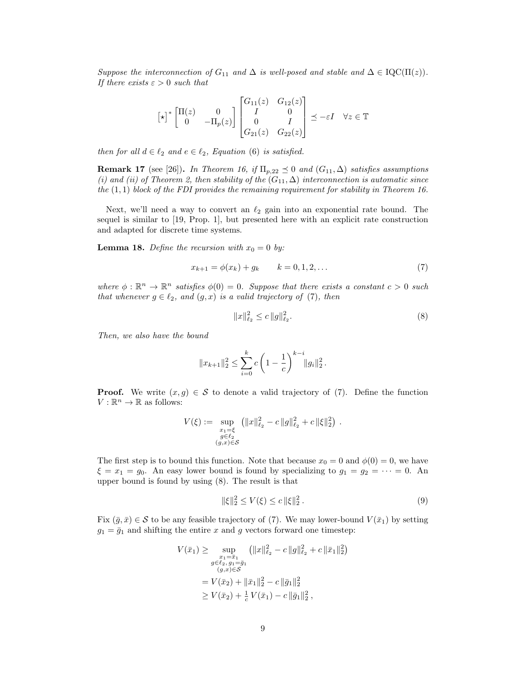Suppose the interconnection of  $G_{11}$  and  $\Delta$  is well-posed and stable and  $\Delta \in \text{IQC}(\Pi(z))$ . If there exists  $\varepsilon > 0$  such that

$$
\begin{bmatrix} \star \end{bmatrix}^* \begin{bmatrix} \Pi(z) & 0 \\ 0 & -\Pi_p(z) \end{bmatrix} \begin{bmatrix} G_{11}(z) & G_{12}(z) \\ I & 0 \\ 0 & I \\ G_{21}(z) & G_{22}(z) \end{bmatrix} \preceq -\varepsilon I \quad \forall z \in \mathbb{T}
$$

then for all  $d \in \ell_2$  and  $e \in \ell_2$ , Equation [\(6\)](#page-7-2) is satisfied.

**Remark 17** (see [\[26\]](#page-27-4)). In Theorem [16,](#page-7-3) if  $\Pi_{p,22} \preceq 0$  and  $(G_{11}, \Delta)$  satisfies assumptions (i) and (ii) of Theorem [2,](#page-2-3) then stability of the  $(G_{11}, \Delta)$  interconnection is automatic since the  $(1,1)$  block of the FDI provides the remaining requirement for stability in Theorem [16.](#page-7-3)

Next, we'll need a way to convert an  $\ell_2$  gain into an exponential rate bound. The sequel is similar to [\[19,](#page-26-0) Prop. 1], but presented here with an explicit rate construction and adapted for discrete time systems.

<span id="page-8-3"></span>**Lemma 18.** Define the recursion with  $x_0 = 0$  by:

$$
x_{k+1} = \phi(x_k) + g_k \qquad k = 0, 1, 2, \dots \tag{7}
$$

where  $\phi : \mathbb{R}^n \to \mathbb{R}^n$  satisfies  $\phi(0) = 0$ . Suppose that there exists a constant  $c > 0$  such that whenever  $g \in \ell_2$ , and  $(g, x)$  is a valid trajectory of [\(7\)](#page-8-0), then

<span id="page-8-1"></span><span id="page-8-0"></span>
$$
||x||_{\ell_2}^2 \le c \, ||g||_{\ell_2}^2. \tag{8}
$$

Then, we also have the bound

$$
||x_{k+1}||_2^2 \le \sum_{i=0}^k c \left(1 - \frac{1}{c}\right)^{k-i} ||g_i||_2^2.
$$

**Proof.** We write  $(x, g) \in S$  to denote a valid trajectory of [\(7\)](#page-8-0). Define the function  $V: \mathbb{R}^n \to \mathbb{R}$  as follows:

$$
V(\xi) := \sup_{\substack{x_1 = \xi \\ g \in \ell_2 \\ (g,x) \in \mathcal{S}}} \left( \|x\|_{\ell_2}^2 - c\|g\|_{\ell_2}^2 + c\|\xi\|_2^2 \right) .
$$

The first step is to bound this function. Note that because  $x_0 = 0$  and  $\phi(0) = 0$ , we have  $\xi = x_1 = g_0$ . An easy lower bound is found by specializing to  $g_1 = g_2 = \cdots = 0$ . An upper bound is found by using [\(8\)](#page-8-1). The result is that

<span id="page-8-2"></span>
$$
\|\xi\|_2^2 \le V(\xi) \le c \|\xi\|_2^2. \tag{9}
$$

Fix  $(\bar{g}, \bar{x}) \in S$  to be any feasible trajectory of [\(7\)](#page-8-0). We may lower-bound  $V(\bar{x}_1)$  by setting  $g_1 = \bar{g}_1$  and shifting the entire x and g vectors forward one timestep:

$$
V(\bar{x}_1) \ge \sup_{\substack{x_1 = \bar{x}_1 \\ g \in \ell_2, \, g_1 = \bar{g}_1}} (\|x\|_{\ell_2}^2 - c\|g\|_{\ell_2}^2 + c\|\bar{x}_1\|_2^2)
$$
  

$$
= V(\bar{x}_2) + \|\bar{x}_1\|_2^2 - c\|\bar{g}_1\|_2^2
$$
  

$$
\ge V(\bar{x}_2) + \frac{1}{c}V(\bar{x}_1) - c\|\bar{g}_1\|_2^2,
$$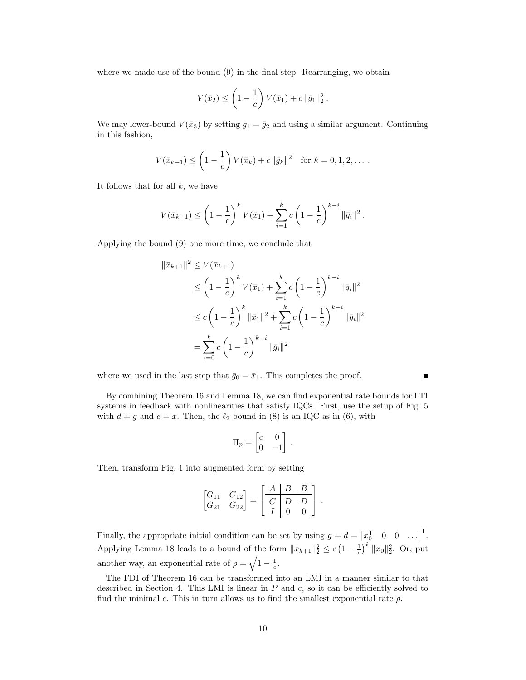where we made use of the bound [\(9\)](#page-8-2) in the final step. Rearranging, we obtain

$$
V(\bar{x}_2) \le \left(1 - \frac{1}{c}\right) V(\bar{x}_1) + c \|\bar{g}_1\|_2^2.
$$

We may lower-bound  $V(\bar{x}_3)$  by setting  $g_1 = \bar{g}_2$  and using a similar argument. Continuing in this fashion,

$$
V(\bar{x}_{k+1}) \leq \left(1 - \frac{1}{c}\right) V(\bar{x}_k) + c \|\bar{g}_k\|^2 \quad \text{for } k = 0, 1, 2, \dots.
$$

It follows that for all  $k$ , we have

$$
V(\bar{x}_{k+1}) \le \left(1 - \frac{1}{c}\right)^k V(\bar{x}_1) + \sum_{i=1}^k c \left(1 - \frac{1}{c}\right)^{k-i} ||\bar{g}_i||^2.
$$

Applying the bound [\(9\)](#page-8-2) one more time, we conclude that

$$
\|\bar{x}_{k+1}\|^2 \le V(\bar{x}_{k+1})
$$
  
\n
$$
\le \left(1 - \frac{1}{c}\right)^k V(\bar{x}_1) + \sum_{i=1}^k c \left(1 - \frac{1}{c}\right)^{k-i} \|\bar{g}_i\|^2
$$
  
\n
$$
\le c \left(1 - \frac{1}{c}\right)^k \|\bar{x}_1\|^2 + \sum_{i=1}^k c \left(1 - \frac{1}{c}\right)^{k-i} \|\bar{g}_i\|^2
$$
  
\n
$$
= \sum_{i=0}^k c \left(1 - \frac{1}{c}\right)^{k-i} \|\bar{g}_i\|^2
$$

where we used in the last step that  $\bar{g}_0 = \bar{x}_1$ . This completes the proof.

By combining Theorem [16](#page-7-3) and Lemma [18,](#page-8-3) we can find exponential rate bounds for LTI systems in feedback with nonlinearities that satisfy IQCs. First, use the setup of Fig. [5](#page-7-1) with  $d = g$  and  $e = x$ . Then, the  $\ell_2$  bound in [\(8\)](#page-8-1) is an IQC as in [\(6\)](#page-7-2), with

Г

$$
\Pi_p = \begin{bmatrix} c & 0 \\ 0 & -1 \end{bmatrix}.
$$

Then, transform Fig. [1](#page-2-0) into augmented form by setting

$$
\begin{bmatrix} G_{11} & G_{12} \\ G_{21} & G_{22} \end{bmatrix} = \begin{bmatrix} A & B & B \\ C & D & D \\ I & 0 & 0 \end{bmatrix}.
$$

Finally, the appropriate initial condition can be set by using  $g = d = \begin{bmatrix} x_0^T & 0 & 0 & \dots \end{bmatrix}^T$ . Applying Lemma [18](#page-8-3) leads to a bound of the form  $||x_{k+1}||_2^2 \le c \left(1 - \frac{1}{c}\right)^k ||x_0||_2^2$ . Or, put another way, an exponential rate of  $\rho = \sqrt{1 - \frac{1}{c}}$ .

The FDI of Theorem [16](#page-7-3) can be transformed into an LMI in a manner similar to that described in Section [4.](#page-5-0) This LMI is linear in  $P$  and  $c$ , so it can be efficiently solved to find the minimal c. This in turn allows us to find the smallest exponential rate  $\rho$ .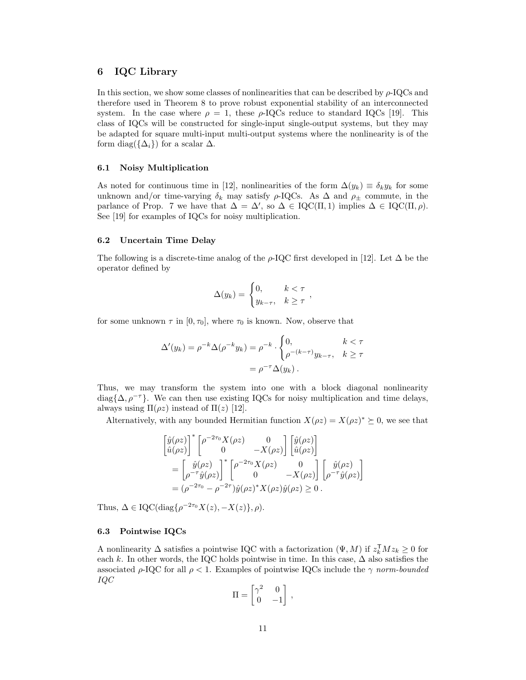# <span id="page-10-0"></span>6 IQC Library

In this section, we show some classes of nonlinearities that can be described by  $\rho$ -IQCs and therefore used in Theorem [8](#page-4-4) to prove robust exponential stability of an interconnected system. In the case where  $\rho = 1$ , these  $\rho$ -IQCs reduce to standard IQCs [\[19\]](#page-26-0). This class of IQCs will be constructed for single-input single-output systems, but they may be adapted for square multi-input multi-output systems where the nonlinearity is of the form diag( $\{\Delta_i\}$ ) for a scalar  $\Delta$ .

## 6.1 Noisy Multiplication

As noted for continuous time in [\[12\]](#page-26-9), nonlinearities of the form  $\Delta(y_k) \equiv \delta_k y_k$  for some unknown and/or time-varying  $\delta_k$  may satisfy  $\rho$ -IQCs. As  $\Delta$  and  $\rho_{\pm}$  commute, in the parlance of Prop. [7](#page-4-1) we have that  $\Delta = \Delta'$ , so  $\Delta \in \text{IQC}(\Pi, 1)$  implies  $\Delta \in \text{IQC}(\Pi, \rho)$ . See [\[19\]](#page-26-0) for examples of IQCs for noisy multiplication.

## 6.2 Uncertain Time Delay

The following is a discrete-time analog of the  $\rho$ -IQC first developed in [\[12\]](#page-26-9). Let  $\Delta$  be the operator defined by

$$
\Delta(y_k) = \begin{cases} 0, & k < \tau \\ y_{k-\tau}, & k \ge \tau \end{cases}
$$

for some unknown  $\tau$  in  $[0, \tau_0]$ , where  $\tau_0$  is known. Now, observe that

$$
\Delta'(y_k) = \rho^{-k} \Delta(\rho^{-k} y_k) = \rho^{-k} \cdot \begin{cases} 0, & k < \tau \\ \rho^{-(k-\tau)} y_{k-\tau}, & k \ge \tau \end{cases}
$$

$$
= \rho^{-\tau} \Delta(y_k) .
$$

Thus, we may transform the system into one with a block diagonal nonlinearity diag $\{\Delta, \rho^{-\tau}\}\$ . We can then use existing IQCs for noisy multiplication and time delays, always using  $\Pi(\rho z)$  instead of  $\Pi(z)$  [\[12\]](#page-26-9).

Alternatively, with any bounded Hermitian function  $X(\rho z) = X(\rho z)^* \succeq 0$ , we see that

$$
\begin{split}\n\begin{bmatrix}\n\hat{y}(\rho z) \\
\hat{u}(\rho z)\n\end{bmatrix}^* \begin{bmatrix}\n\rho^{-2\tau_0} X(\rho z) & 0 \\
0 & -X(\rho z)\n\end{bmatrix} \begin{bmatrix}\n\hat{y}(\rho z) \\
\hat{u}(\rho z)\n\end{bmatrix} \\
&= \begin{bmatrix}\n\hat{y}(\rho z) \\
\rho^{-\tau} \hat{y}(\rho z)\n\end{bmatrix}^* \begin{bmatrix}\n\rho^{-2\tau_0} X(\rho z) & 0 \\
0 & -X(\rho z)\n\end{bmatrix} \begin{bmatrix}\n\hat{y}(\rho z) \\
\rho^{-\tau} \hat{y}(\rho z)\n\end{bmatrix} \\
&= (\rho^{-2\tau_0} - \rho^{-2\tau}) \hat{y}(\rho z)^* X(\rho z) \hat{y}(\rho z) \geq 0.\n\end{split}
$$

Thus,  $\Delta \in \text{IQC}(\text{diag}\{\rho^{-2\tau_0}X(z), -X(z)\}, \rho).$ 

# 6.3 Pointwise IQCs

A nonlinearity  $\Delta$  satisfies a pointwise IQC with a factorization  $(\Psi, M)$  if  $z_k^{\mathsf{T}} M z_k \geq 0$  for each k. In other words, the IQC holds pointwise in time. In this case,  $\Delta$  also satisfies the associated  $\rho$ -IQC for all  $\rho < 1$ . Examples of pointwise IQCs include the  $\gamma$  norm-bounded IQC

$$
\Pi = \begin{bmatrix} \gamma^2 & 0 \\ 0 & -1 \end{bmatrix},
$$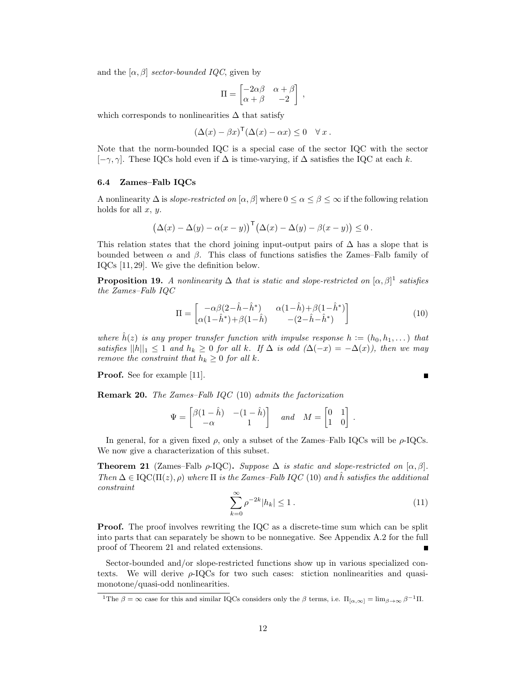and the  $[\alpha, \beta]$  sector-bounded IQC, given by

$$
\Pi = \begin{bmatrix} -2\alpha\beta & \alpha+\beta \\ \alpha+\beta & -2 \end{bmatrix} ,
$$

which corresponds to nonlinearities  $\Delta$  that satisfy

$$
(\Delta(x) - \beta x)^{\mathsf{T}}(\Delta(x) - \alpha x) \leq 0 \quad \forall x.
$$

Note that the norm-bounded IQC is a special case of the sector IQC with the sector  $[-\gamma, \gamma]$ . These IQCs hold even if  $\Delta$  is time-varying, if  $\Delta$  satisfies the IQC at each k.

## 6.4 Zames–Falb IQCs

A nonlinearity  $\Delta$  is slope-restricted on  $[\alpha, \beta]$  where  $0 \leq \alpha \leq \beta \leq \infty$  if the following relation holds for all  $x, y$ .

$$
(\Delta(x) - \Delta(y) - \alpha(x - y))^{\mathsf{T}} (\Delta(x) - \Delta(y) - \beta(x - y)) \leq 0.
$$

This relation states that the chord joining input-output pairs of  $\Delta$  has a slope that is bounded between  $\alpha$  and  $\beta$ . This class of functions satisfies the Zames–Falb family of IQCs [\[11,](#page-26-13) [29\]](#page-27-5). We give the definition below.

**Proposition [1](#page-11-0)9.** A nonlinearity  $\Delta$  that is static and slope-restricted on  $[\alpha, \beta]$ <sup>1</sup> satisfies the Zames–Falb IQC

<span id="page-11-1"></span>
$$
\Pi = \begin{bmatrix} -\alpha\beta(2-\hat{h}-\hat{h}^*) & \alpha(1-\hat{h}) + \beta(1-\hat{h}^*) \\ \alpha(1-\hat{h}^*) + \beta(1-\hat{h}) & -(2-\hat{h}-\hat{h}^*) \end{bmatrix}
$$
(10)

where  $\hat{h}(z)$  is any proper transfer function with impulse response  $h := (h_0, h_1, \dots)$  that satisfies  $||h||_1 \leq 1$  and  $h_k \geq 0$  for all k. If  $\Delta$  is odd  $(\Delta(-x) = -\Delta(x))$ , then we may remove the constraint that  $h_k \geq 0$  for all k.

Proof. See for example [\[11\]](#page-26-13).

<span id="page-11-4"></span>Remark 20. The Zames–Falb IQC [\(10\)](#page-11-1) admits the factorization

$$
\Psi = \begin{bmatrix} \beta(1-\hat{h}) & -(1-\hat{h}) \\ -\alpha & 1 \end{bmatrix} \quad and \quad M = \begin{bmatrix} 0 & 1 \\ 1 & 0 \end{bmatrix}.
$$

In general, for a given fixed  $\rho$ , only a subset of the Zames–Falb IQCs will be  $\rho$ -IQCs. We now give a characterization of this subset.

<span id="page-11-3"></span><span id="page-11-2"></span>**Theorem 21** (Zames–Falb  $\rho$ -IQC). Suppose  $\Delta$  is static and slope-restricted on  $[\alpha, \beta]$ . Then  $\Delta \in \text{IQC}(\Pi(z), \rho)$  where  $\Pi$  is the Zames–Falb IQC [\(10\)](#page-11-1) and h satisfies the additional constraint

$$
\sum_{k=0}^{\infty} \rho^{-2k} |h_k| \le 1.
$$
 (11)

Proof. The proof involves rewriting the IQC as a discrete-time sum which can be split into parts that can separately be shown to be nonnegative. See Appendix [A.2](#page-19-0) for the full proof of Theorem [21](#page-11-2) and related extensions.

Sector-bounded and/or slope-restricted functions show up in various specialized contexts. We will derive  $\rho$ -IQCs for two such cases: stiction nonlinearities and quasimonotone/quasi-odd nonlinearities.

 $\blacksquare$ 

<span id="page-11-0"></span><sup>&</sup>lt;sup>1</sup>The  $\beta = \infty$  case for this and similar IQCs considers only the  $\beta$  terms, i.e.  $\Pi_{\alpha,\infty} = \lim_{\beta \to \infty} \beta^{-1} \Pi$ .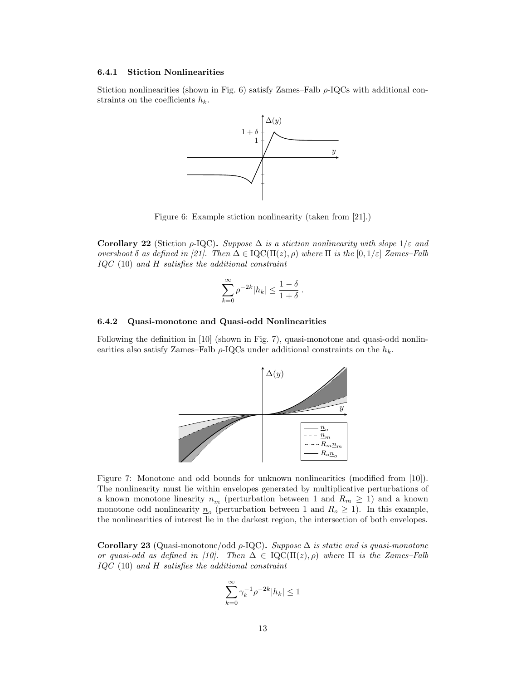## 6.4.1 Stiction Nonlinearities

Stiction nonlinearities (shown in Fig. [6\)](#page-12-0) satisfy Zames–Falb  $\rho$ -IQCs with additional constraints on the coefficients  $h_k$ .



<span id="page-12-0"></span>Figure 6: Example stiction nonlinearity (taken from [\[21\]](#page-26-14).)

Corollary 22 (Stiction  $\rho$ -IQC). Suppose  $\Delta$  is a stiction nonlinearity with slope  $1/\varepsilon$  and overshoot  $\delta$  as defined in [\[21\]](#page-26-14). Then  $\Delta \in \mathrm{IQC}(\Pi(z), \rho)$  where  $\Pi$  is the  $[0, 1/\varepsilon]$  Zames–Falb IQC [\(10\)](#page-11-1) and H satisfies the additional constraint

$$
\sum_{k=0}^{\infty} \rho^{-2k} |h_k| \le \frac{1-\delta}{1+\delta}.
$$

## 6.4.2 Quasi-monotone and Quasi-odd Nonlinearities

Following the definition in [\[10\]](#page-26-15) (shown in Fig. [7\)](#page-12-1), quasi-monotone and quasi-odd nonlinearities also satisfy Zames–Falb  $\rho$ -IQCs under additional constraints on the  $h_k$ .



<span id="page-12-1"></span>Figure 7: Monotone and odd bounds for unknown nonlinearities (modified from [\[10\]](#page-26-15)). The nonlinearity must lie within envelopes generated by multiplicative perturbations of a known monotone linearity  $\underline{n}_m$  (perturbation between 1 and  $R_m \geq 1$ ) and a known monotone odd nonlinearity  $\underline{n}_{o}$  (perturbation between 1 and  $R_{o} \ge 1$ ). In this example, the nonlinearities of interest lie in the darkest region, the intersection of both envelopes.

<span id="page-12-2"></span>Corollary 23 (Quasi-monotone/odd  $\rho$ -IQC). Suppose  $\Delta$  is static and is quasi-monotone or quasi-odd as defined in [\[10\]](#page-26-15). Then  $\Delta \in \mathrm{IQC}(\Pi(z), \rho)$  where  $\Pi$  is the Zames–Falb  $IQC$  [\(10\)](#page-11-1) and  $H$  satisfies the additional constraint

$$
\sum_{k=0}^{\infty} \gamma_k^{-1} \rho^{-2k} |h_k| \le 1
$$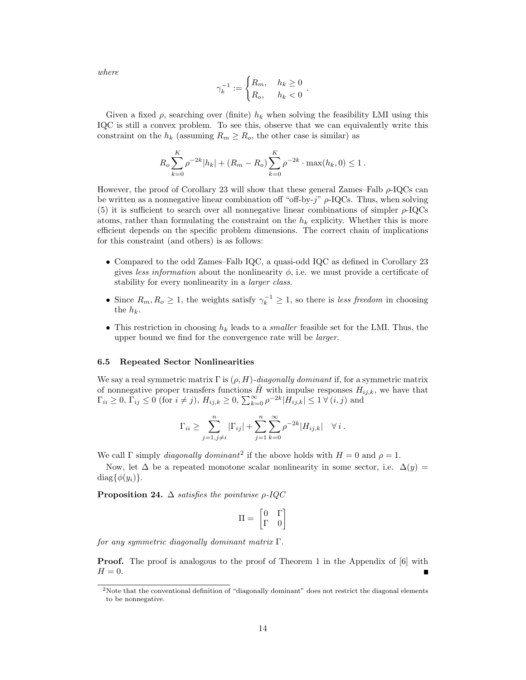where

$$
\gamma_k^{-1} := \begin{cases} R_m, & h_k \ge 0 \\ R_o, & h_k < 0 \end{cases}.
$$

Given a fixed  $\rho$ , searching over (finite)  $h_k$  when solving the feasibility LMI using this IQC is still a convex problem. To see this, observe that we can equivalently write this constraint on the  $h_k$  (assuming  $R_m \geq R_o$ , the other case is similar) as

$$
R_o \sum_{k=0}^{K} \rho^{-2k} |h_k| + (R_m - R_o) \sum_{k=0}^{K} \rho^{-2k} \cdot \max(h_k, 0) \le 1.
$$

However, the proof of Corollary [23](#page-12-2) will show that these general Zames–Falb  $\rho$ -IQCs can be written as a nonnegative linear combination off "off-by- $j$ "  $\rho$ -IQCs. Thus, when solving [\(5\)](#page-6-0) it is sufficient to search over all nonnegative linear combinations of simpler  $\rho$ -IQCs atoms, rather than formulating the constraint on the  $h_k$  explicity. Whether this is more efficient depends on the specific problem dimensions. The correct chain of implications for this constraint (and others) is as follows:

- Compared to the odd Zames–Falb IQC, a quasi-odd IQC as defined in Corollary [23](#page-12-2) gives less information about the nonlinearity  $\phi$ , i.e. we must provide a certificate of stability for every nonlinearity in a larger class.
- Since  $R_m, R_o \ge 1$ , the weights satisfy  $\gamma_k^{-1} \ge 1$ , so there is less freedom in choosing the  $h_k$ .
- This restriction in choosing  $h_k$  leads to a *smaller* feasible set for the LMI. Thus, the upper bound we find for the convergence rate will be *larger*.

#### 6.5 Repeated Sector Nonlinearities

We say a real symmetric matrix  $\Gamma$  is  $(\rho, H)$ -diagonally dominant if, for a symmetric matrix of nonnegative proper transfers functions  $\hat{H}$  with impulse responses  $H_{ij,k}$ , we have that  $\Gamma_{ii} \ge 0, \, \Gamma_{ij} \le 0 \text{ (for } i \ne j\text{), } H_{ij,k} \ge 0, \, \sum_{k=0}^{\infty} \rho^{-2k} |H_{ij,k}| \le 1 \,\forall \, (i,j) \text{ and }$ 

$$
\Gamma_{ii} \ge \sum_{j=1, j \ne i}^{n} |\Gamma_{ij}| + \sum_{j=1}^{n} \sum_{k=0}^{\infty} \rho^{-2k} |H_{ij,k}| \quad \forall i.
$$

We call  $\Gamma$  simply *diagonally dominant*<sup>[2](#page-13-0)</sup> if the above holds with  $H = 0$  and  $\rho = 1$ .

Now, let  $\Delta$  be a repeated monotone scalar nonlinearity in some sector, i.e.  $\Delta(y)$ diag $\{\phi(y_i)\}.$ 

<span id="page-13-2"></span>**Proposition 24.**  $\Delta$  satisfies the pointwise  $\rho$ -IQC

$$
\Pi=\begin{bmatrix}0&\Gamma\\ \Gamma&0\end{bmatrix}
$$

for any symmetric diagonally dominant matrix  $\Gamma$ .

**Proof.** The proof is analogous to the proof of Theorem 1 in the Appendix of [\[6\]](#page-26-16) with  $H = 0.$ 

<span id="page-13-1"></span><span id="page-13-0"></span><sup>&</sup>lt;sup>2</sup>Note that the conventional definition of "diagonally dominant" does not restrict the diagonal elements to be nonnegative.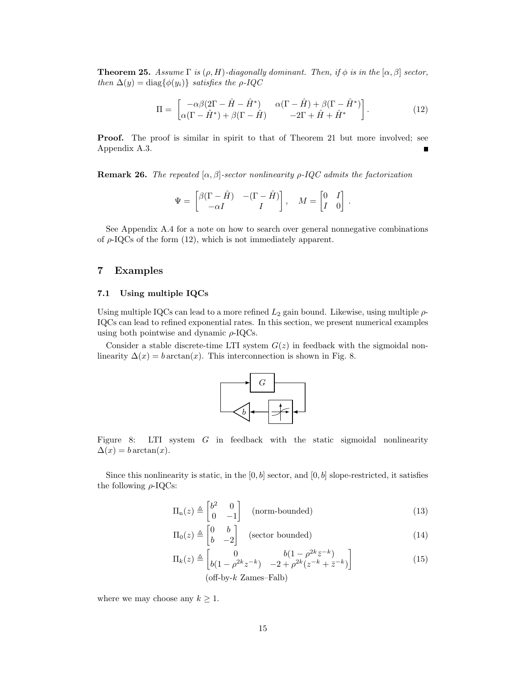**Theorem 25.** Assume  $\Gamma$  is  $(\rho, H)$ -diagonally dominant. Then, if  $\phi$  is in the  $[\alpha, \beta]$  sector, then  $\Delta(y) = \text{diag}\{\phi(y_i)\}\$  satisfies the  $\rho$ -IQC

<span id="page-14-1"></span>
$$
\Pi = \begin{bmatrix} -\alpha\beta(2\Gamma - \hat{H} - \hat{H}^*) & \alpha(\Gamma - \hat{H}) + \beta(\Gamma - \hat{H}^*) \\ \alpha(\Gamma - \hat{H}^*) + \beta(\Gamma - \hat{H}) & -2\Gamma + \hat{H} + \hat{H}^* \end{bmatrix}.
$$
(12)

**Proof.** The proof is similar in spirit to that of Theorem [21](#page-11-2) but more involved; see Appendix [A.3.](#page-22-0)

**Remark 26.** The repeated  $[\alpha, \beta]$ -sector nonlinearity  $\rho$ -IQC admits the factorization

$$
\Psi = \begin{bmatrix} \beta(\Gamma - \hat{H}) & -(\Gamma - \hat{H}) \\ -\alpha I & I \end{bmatrix}, \quad M = \begin{bmatrix} 0 & I \\ I & 0 \end{bmatrix}.
$$

See Appendix [A.4](#page-24-0) for a note on how to search over general nonnegative combinations of  $\rho$ -IQCs of the form [\(12\)](#page-14-1), which is not immediately apparent.

# <span id="page-14-0"></span>7 Examples

## 7.1 Using multiple IQCs

Using multiple IQCs can lead to a more refined  $L_2$  gain bound. Likewise, using multiple  $\rho$ -IQCs can lead to refined exponential rates. In this section, we present numerical examples using both pointwise and dynamic  $\rho$ -IQCs.

Consider a stable discrete-time LTI system  $G(z)$  in feedback with the sigmoidal nonlinearity  $\Delta(x) = b \arctan(x)$ . This interconnection is shown in Fig. [8.](#page-14-2)

<span id="page-14-3"></span>

<span id="page-14-2"></span>Figure 8: LTI system G in feedback with the static sigmoidal nonlinearity  $\Delta(x) = b \arctan(x).$ 

Since this nonlinearity is static, in the  $[0, b]$  sector, and  $[0, b]$  slope-restricted, it satisfies the following  $\rho$ -IQCs:

$$
\Pi_{n}(z) \triangleq \begin{bmatrix} b^{2} & 0\\ 0 & -1 \end{bmatrix} \quad \text{(norm-bounded)}\tag{13}
$$

<span id="page-14-4"></span>
$$
\Pi_0(z) \triangleq \begin{bmatrix} 0 & b \\ b & -2 \end{bmatrix} \quad \text{(sector bounded)}\tag{14}
$$

$$
\Pi_k(z) \triangleq \begin{bmatrix} 0 & b(1 - \rho^{2k} \bar{z}^{-k}) \\ b(1 - \rho^{2k} z^{-k}) & -2 + \rho^{2k} (z^{-k} + \bar{z}^{-k}) \end{bmatrix}
$$
(15)  
(off-by-k Zames–Falb)

where we may choose any  $k \geq 1$ .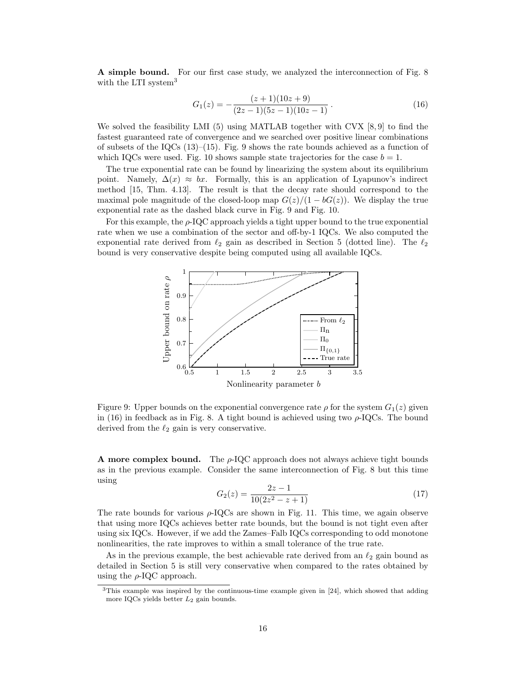A simple bound. For our first case study, we analyzed the interconnection of Fig. [8](#page-14-2) with the LTI system<sup>[3](#page-15-0)</sup>

<span id="page-15-2"></span>
$$
G_1(z) = -\frac{(z+1)(10z+9)}{(2z-1)(5z-1)(10z-1)}.
$$
\n(16)

We solved the feasibility LMI [\(5\)](#page-6-0) using MATLAB together with CVX [\[8,](#page-26-17) [9\]](#page-26-18) to find the fastest guaranteed rate of convergence and we searched over positive linear combinations of subsets of the IQCs  $(13)$ – $(15)$ . Fig. [9](#page-15-1) shows the rate bounds achieved as a function of which IQCs were used. Fig. [10](#page-16-0) shows sample state trajectories for the case  $b = 1$ .

The true exponential rate can be found by linearizing the system about its equilibrium point. Namely,  $\Delta(x) \approx bx$ . Formally, this is an application of Lyapunov's indirect method [\[15,](#page-26-19) Thm. 4.13]. The result is that the decay rate should correspond to the maximal pole magnitude of the closed-loop map  $G(z)/(1 - bG(z))$ . We display the true exponential rate as the dashed black curve in Fig. [9](#page-15-1) and Fig. [10.](#page-16-0)

For this example, the  $\rho$ -IQC approach yields a tight upper bound to the true exponential rate when we use a combination of the sector and off-by-1 IQCs. We also computed the exponential rate derived from  $\ell_2$  gain as described in Section [5](#page-7-0) (dotted line). The  $\ell_2$ bound is very conservative despite being computed using all available IQCs.



<span id="page-15-1"></span>Figure 9: Upper bounds on the exponential convergence rate  $\rho$  for the system  $G_1(z)$  given in [\(16\)](#page-15-2) in feedback as in Fig. [8.](#page-14-2) A tight bound is achieved using two  $\rho$ -IQCs. The bound derived from the  $\ell_2$  gain is very conservative.

<span id="page-15-3"></span>**A** more complex bound. The  $\rho$ -IQC approach does not always achieve tight bounds as in the previous example. Consider the same interconnection of Fig. [8](#page-14-2) but this time using

$$
G_2(z) = \frac{2z - 1}{10(2z^2 - z + 1)}\tag{17}
$$

The rate bounds for various  $\rho$ -IQCs are shown in Fig. [11.](#page-16-1) This time, we again observe that using more IQCs achieves better rate bounds, but the bound is not tight even after using six IQCs. However, if we add the Zames–Falb IQCs corresponding to odd monotone nonlinearities, the rate improves to within a small tolerance of the true rate.

As in the previous example, the best achievable rate derived from an  $\ell_2$  gain bound as detailed in Section [5](#page-7-0) is still very conservative when compared to the rates obtained by using the  $\rho$ -IQC approach.

<span id="page-15-0"></span><sup>3</sup>This example was inspired by the continuous-time example given in [\[24\]](#page-26-20), which showed that adding more IQCs yields better  $L_2$  gain bounds.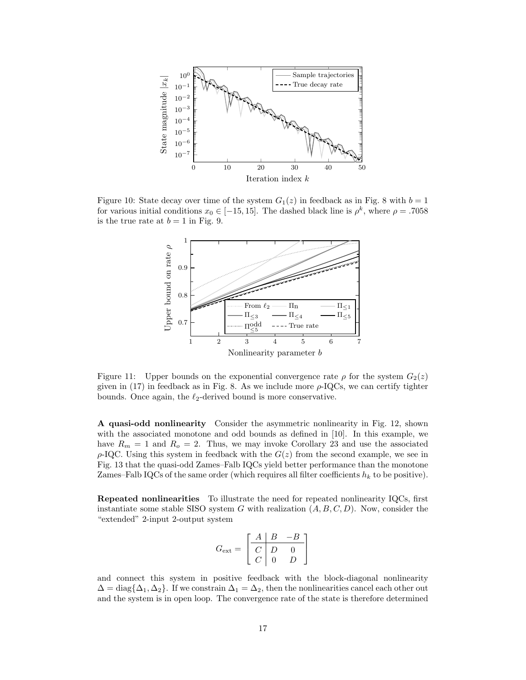

Figure 10: State decay over time of the system  $G_1(z)$  in feedback as in Fig. [8](#page-14-2) with  $b = 1$ for various initial conditions  $x_0 \in [-15, 15]$ . The dashed black line is  $\rho^k$ , where  $\rho = .7058$ is the true rate at  $b = 1$  in Fig. [9.](#page-15-1)

<span id="page-16-0"></span>

<span id="page-16-1"></span>Figure 11: Upper bounds on the exponential convergence rate  $\rho$  for the system  $G_2(z)$ given in  $(17)$  in feedback as in Fig. [8.](#page-14-2) As we include more  $\rho$ -IQCs, we can certify tighter bounds. Once again, the  $\ell_2$ -derived bound is more conservative.

A quasi-odd nonlinearity Consider the asymmetric nonlinearity in Fig. [12,](#page-17-0) shown with the associated monotone and odd bounds as defined in [\[10\]](#page-26-15). In this example, we have  $R_m = 1$  and  $R_o = 2$ . Thus, we may invoke Corollary [23](#page-12-2) and use the associated  $\rho$ -IQC. Using this system in feedback with the  $G(z)$  from the second example, we see in Fig. [13](#page-17-1) that the quasi-odd Zames–Falb IQCs yield better performance than the monotone Zames–Falb IQCs of the same order (which requires all filter coefficients  $h_k$  to be positive).

Repeated nonlinearities To illustrate the need for repeated nonlinearity IQCs, first instantiate some stable SISO system G with realization  $(A, B, C, D)$ . Now, consider the "extended" 2-input 2-output system

$$
G_{\text{ext}} = \begin{bmatrix} A & B & -B \\ C & D & 0 \\ C & 0 & D \end{bmatrix}
$$

and connect this system in positive feedback with the block-diagonal nonlinearity  $\Delta = \text{diag}\{\Delta_1, \Delta_2\}$ . If we constrain  $\Delta_1 = \Delta_2$ , then the nonlinearities cancel each other out and the system is in open loop. The convergence rate of the state is therefore determined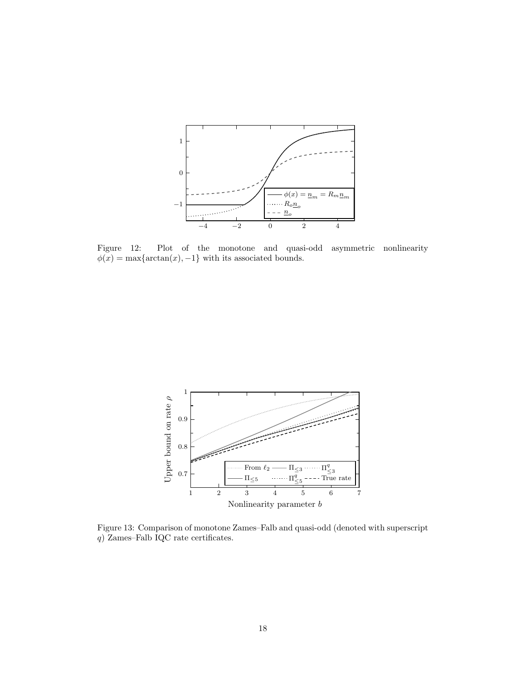

<span id="page-17-0"></span>Figure 12: Plot of the monotone and quasi-odd asymmetric nonlinearity  $\phi(x) = \max\{\arctan(x), -1\}$  with its associated bounds.



<span id="page-17-1"></span>Figure 13: Comparison of monotone Zames–Falb and quasi-odd (denoted with superscript q) Zames–Falb IQC rate certificates.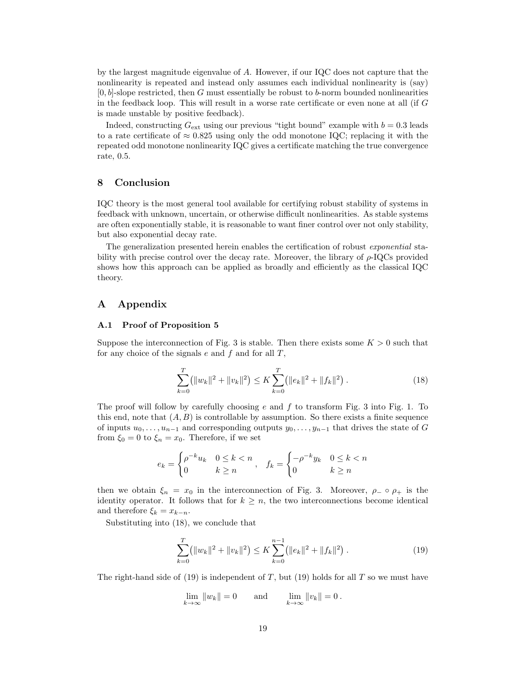by the largest magnitude eigenvalue of A. However, if our IQC does not capture that the nonlinearity is repeated and instead only assumes each individual nonlinearity is (say)  $[0, b]$ -slope restricted, then G must essentially be robust to b-norm bounded nonlinearities in the feedback loop. This will result in a worse rate certificate or even none at all (if G is made unstable by positive feedback).

Indeed, constructing  $G_{\text{ext}}$  using our previous "tight bound" example with  $b = 0.3$  leads to a rate certificate of  $\approx 0.825$  using only the odd monotone IQC; replacing it with the repeated odd monotone nonlinearity IQC gives a certificate matching the true convergence rate, 0.5.

# <span id="page-18-0"></span>8 Conclusion

IQC theory is the most general tool available for certifying robust stability of systems in feedback with unknown, uncertain, or otherwise difficult nonlinearities. As stable systems are often exponentially stable, it is reasonable to want finer control over not only stability, but also exponential decay rate.

The generalization presented herein enables the certification of robust exponential stability with precise control over the decay rate. Moreover, the library of  $\rho$ -IQCs provided shows how this approach can be applied as broadly and efficiently as the classical IQC theory.

# A Appendix

## <span id="page-18-1"></span>A.1 Proof of Proposition [5](#page-3-4)

Suppose the interconnection of Fig. [3](#page-3-3) is stable. Then there exists some  $K > 0$  such that for any choice of the signals  $e$  and  $f$  and for all  $T$ ,

<span id="page-18-2"></span>
$$
\sum_{k=0}^{T} (||w_k||^2 + ||v_k||^2) \le K \sum_{k=0}^{T} (||e_k||^2 + ||f_k||^2).
$$
 (18)

The proof will follow by carefully choosing  $e$  and  $f$  to transform Fig. [3](#page-3-3) into Fig. [1.](#page-2-0) To this end, note that  $(A, B)$  is controllable by assumption. So there exists a finite sequence of inputs  $u_0, \ldots, u_{n-1}$  and corresponding outputs  $y_0, \ldots, y_{n-1}$  that drives the state of G from  $\xi_0 = 0$  to  $\xi_n = x_0$ . Therefore, if we set

$$
e_k = \begin{cases} \rho^{-k} u_k & 0 \le k < n \\ 0 & k \ge n \end{cases}, \quad f_k = \begin{cases} -\rho^{-k} y_k & 0 \le k < n \\ 0 & k \ge n \end{cases}
$$

then we obtain  $\xi_n = x_0$  in the interconnection of Fig. [3.](#page-3-3) Moreover,  $\rho_-\circ \rho_+$  is the identity operator. It follows that for  $k \geq n$ , the two interconnections become identical and therefore  $\xi_k = x_{k-n}$ .

Substituting into [\(18\)](#page-18-2), we conclude that

<span id="page-18-3"></span>
$$
\sum_{k=0}^{T} (||w_k||^2 + ||v_k||^2) \le K \sum_{k=0}^{n-1} (||e_k||^2 + ||f_k||^2).
$$
 (19)

The right-hand side of  $(19)$  is independent of T, but  $(19)$  holds for all T so we must have

$$
\lim_{k \to \infty} ||w_k|| = 0 \quad \text{and} \quad \lim_{k \to \infty} ||v_k|| = 0.
$$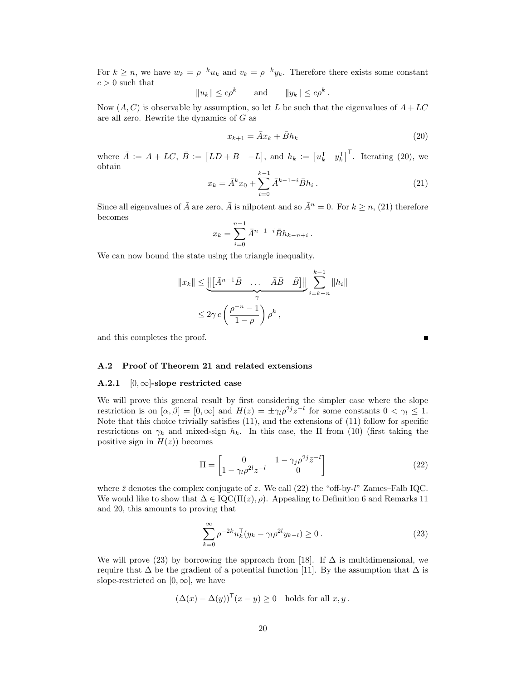For  $k \ge n$ , we have  $w_k = \rho^{-k} u_k$  and  $v_k = \rho^{-k} y_k$ . Therefore there exists some constant  $c > 0$  such that

$$
||u_k|| \le c\rho^k \quad \text{and} \quad ||y_k|| \le c\rho^k.
$$

Now  $(A, C)$  is observable by assumption, so let L be such that the eigenvalues of  $A + LC$ are all zero. Rewrite the dynamics of  $G$  as

<span id="page-19-1"></span>
$$
x_{k+1} = \bar{A}x_k + \bar{B}h_k
$$
\n<sup>(20)</sup>

<span id="page-19-2"></span>where  $\overline{A} := A + LC, \overline{B} := [LD + B - L],$  and  $h_k := [u_k^{\mathsf{T}} \quad y_k^{\mathsf{T}}]^{\mathsf{T}}$ . Iterating [\(20\)](#page-19-1), we obtain

$$
x_k = \bar{A}^k x_0 + \sum_{i=0}^{k-1} \bar{A}^{k-1-i} \bar{B} h_i.
$$
 (21)

Since all eigenvalues of  $\bar{A}$  are zero,  $\bar{A}$  is nilpotent and so  $\bar{A}^n = 0$ . For  $k \geq n$ , [\(21\)](#page-19-2) therefore becomes

$$
x_k = \sum_{i=0}^{n-1} \bar{A}^{n-1-i} \bar{B} h_{k-n+i} \, .
$$

We can now bound the state using the triangle inequality.

$$
||x_k|| \le ||\underbrace{\left(\left[\bar{A}^{n-1}\bar{B} \dots \ \bar{A}\bar{B} \ \bar{B}\right]\right)}_{\gamma} \sum_{i=k-n}^{k-1} ||h_i||
$$
  

$$
\le 2\gamma c \left(\frac{\rho^{-n}-1}{1-\rho}\right) \rho^k,
$$

and this completes the proof.

## <span id="page-19-0"></span>A.2 Proof of Theorem [21](#page-11-2) and related extensions

## <span id="page-19-5"></span>A.2.1  $[0, \infty]$ -slope restricted case

We will prove this general result by first considering the simpler case where the slope restriction is on  $[\alpha, \beta] = [0, \infty]$  and  $H(z) = \pm \gamma_l \rho^{2j} z^{-l}$  for some constants  $0 < \gamma_l \leq 1$ . Note that this choice trivially satisfies  $(11)$ , and the extensions of  $(11)$  follow for specific restrictions on  $\gamma_k$  and mixed-sign  $h_k$ . In this case, the  $\Pi$  from [\(10\)](#page-11-1) (first taking the positive sign in  $H(z)$  becomes

<span id="page-19-3"></span>
$$
\Pi = \begin{bmatrix} 0 & 1 - \gamma_j \rho^{2j} \bar{z}^{-l} \\ 1 - \gamma_l \rho^{2l} z^{-l} & 0 \end{bmatrix} \tag{22}
$$

where  $\bar{z}$  denotes the complex conjugate of z. We call [\(22\)](#page-19-3) the "off-by-l" Zames–Falb IQC. We would like to show that  $\Delta \in \mathrm{IQC}(\Pi(z), \rho)$ . Appealing to Definition [6](#page-3-5) and Remarks [11](#page-5-3) and [20,](#page-11-4) this amounts to proving that

<span id="page-19-4"></span>
$$
\sum_{k=0}^{\infty} \rho^{-2k} u_k^{\mathsf{T}} (y_k - \gamma_l \rho^{2l} y_{k-l}) \ge 0.
$$
 (23)

We will prove [\(23\)](#page-19-4) by borrowing the approach from [\[18\]](#page-26-2). If  $\Delta$  is multidimensional, we require that  $\Delta$  be the gradient of a potential function [\[11\]](#page-26-13). By the assumption that  $\Delta$  is slope-restricted on  $[0, \infty]$ , we have

$$
(\Delta(x) - \Delta(y))^{\mathsf{T}}(x - y) \ge 0 \text{ holds for all } x, y.
$$

г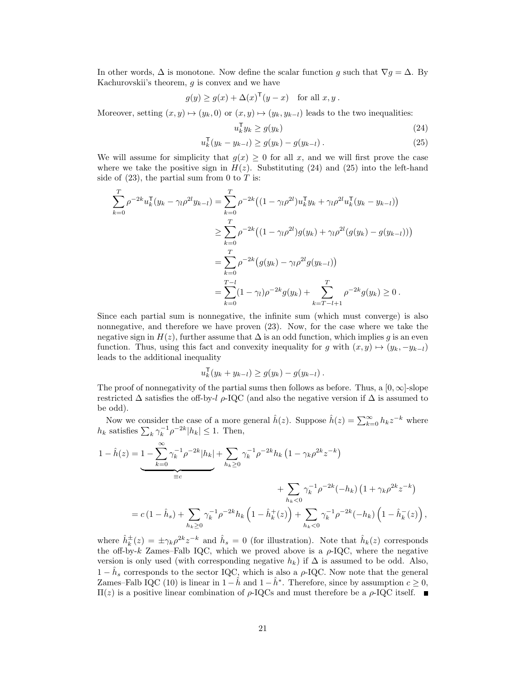In other words,  $\Delta$  is monotone. Now define the scalar function g such that  $\nabla g = \Delta$ . By Kachurovskii's theorem,  $g$  is convex and we have

$$
g(y) \ge g(x) + \Delta(x)^{\mathsf{T}}(y - x) \quad \text{for all } x, y.
$$

Moreover, setting  $(x, y) \mapsto (y_k, 0)$  or  $(x, y) \mapsto (y_k, y_{k-l})$  leads to the two inequalities:

<span id="page-20-1"></span><span id="page-20-0"></span>
$$
u_k^{\mathsf{T}} y_k \ge g(y_k) \tag{24}
$$

$$
u_k^{\mathsf{T}}(y_k - y_{k-l}) \ge g(y_k) - g(y_{k-l}). \tag{25}
$$

We will assume for simplicity that  $g(x) \geq 0$  for all x, and we will first prove the case where we take the positive sign in  $H(z)$ . Substituting [\(24\)](#page-20-0) and [\(25\)](#page-20-1) into the left-hand side of  $(23)$ , the partial sum from 0 to T is:

$$
\sum_{k=0}^{T} \rho^{-2k} u_k^{\mathsf{T}} (y_k - \gamma_l \rho^{2l} y_{k-l}) = \sum_{k=0}^{T} \rho^{-2k} \left( (1 - \gamma_l \rho^{2l}) u_k^{\mathsf{T}} y_k + \gamma_l \rho^{2l} u_k^{\mathsf{T}} (y_k - y_{k-l}) \right)
$$
  
\n
$$
\geq \sum_{k=0}^{T} \rho^{-2k} \left( (1 - \gamma_l \rho^{2l}) g(y_k) + \gamma_l \rho^{2l} (g(y_k) - g(y_{k-l})) \right)
$$
  
\n
$$
= \sum_{k=0}^{T} \rho^{-2k} \left( g(y_k) - \gamma_l \rho^{2l} g(y_{k-l}) \right)
$$
  
\n
$$
= \sum_{k=0}^{T-1} (1 - \gamma_l) \rho^{-2k} g(y_k) + \sum_{k=T-l+1}^{T} \rho^{-2k} g(y_k) \geq 0.
$$

Since each partial sum is nonnegative, the infinite sum (which must converge) is also nonnegative, and therefore we have proven [\(23\)](#page-19-4). Now, for the case where we take the negative sign in  $H(z)$ , further assume that  $\Delta$  is an odd function, which implies g is an even function. Thus, using this fact and convexity inequality for g with  $(x, y) \mapsto (y_k, -y_{k-l})$ leads to the additional inequality

$$
u_k^{\mathsf{T}}(y_k + y_{k-l}) \ge g(y_k) - g(y_{k-l}).
$$

The proof of nonnegativity of the partial sums then follows as before. Thus, a  $[0, \infty]$ -slope restricted  $\Delta$  satisfies the off-by-l  $\rho$ -IQC (and also the negative version if  $\Delta$  is assumed to be odd).

Now we consider the case of a more general  $\hat{h}(z)$ . Suppose  $\hat{h}(z) = \sum_{k=0}^{\infty} h_k z^{-k}$  where  $h_k$  satisfies  $\sum_k \gamma_k^{-1} \rho^{-2k} |h_k| \leq 1$ . Then,

$$
1 - \hat{h}(z) = 1 - \sum_{k=0}^{\infty} \gamma_k^{-1} \rho^{-2k} |h_k| + \sum_{h_k \ge 0} \gamma_k^{-1} \rho^{-2k} h_k (1 - \gamma_k \rho^{2k} z^{-k})
$$
  

$$
+ \sum_{h_k < 0} \gamma_k^{-1} \rho^{-2k} (-h_k) (1 + \gamma_k \rho^{2k} z^{-k})
$$
  

$$
= c (1 - \hat{h}_s) + \sum_{h_k \ge 0} \gamma_k^{-1} \rho^{-2k} h_k (1 - \hat{h}_k^+(z)) + \sum_{h_k < 0} \gamma_k^{-1} \rho^{-2k} (-h_k) (1 - \hat{h}_k^-(z)),
$$

where  $\hat{h}_k^{\pm}(z) = \pm \gamma_k \rho^{2k} z^{-k}$  and  $\hat{h}_s = 0$  (for illustration). Note that  $\hat{h}_k(z)$  corresponds the off-by-k Zames–Falb IQC, which we proved above is a  $\rho$ -IQC, where the negative version is only used (with corresponding negative  $h_k$ ) if  $\Delta$  is assumed to be odd. Also,  $1 - \hat{h}_s$  corresponds to the sector IQC, which is also a  $\rho$ -IQC. Now note that the general Zames–Falb IQC [\(10\)](#page-11-1) is linear in  $1 - \hat{h}$  and  $1 - \hat{h}^*$ . Therefore, since by assumption  $c \ge 0$ ,  $\Pi(z)$  is a positive linear combination of ρ-IQCs and must therefore be a ρ-IQC itself. ■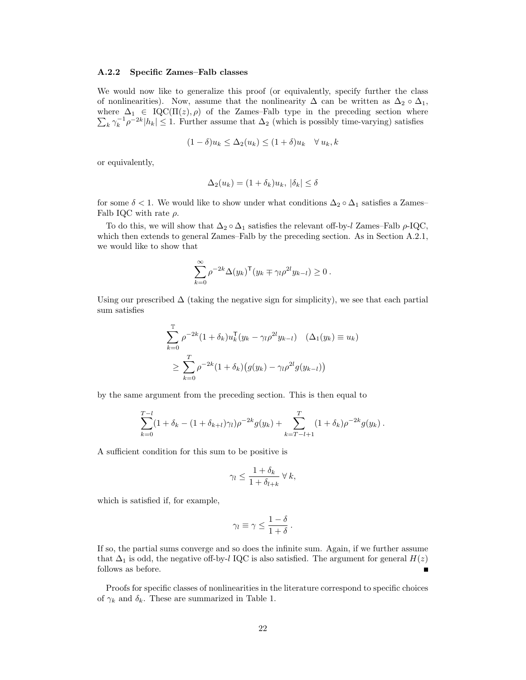## A.2.2 Specific Zames–Falb classes

We would now like to generalize this proof (or equivalently, specify further the class of nonlinearities). Now, assume that the nonlinearity  $\Delta$  can be written as  $\Delta_2 \circ \Delta_1$ ,  $\sum_{k} \gamma_k^{-1} \rho^{-2k} |h_k| \leq 1$ . Further assume that  $\Delta_2$  (which is possibly time-varying) satisfies where  $\Delta_1 \in \text{IQC}(\Pi(z), \rho)$  of the Zames–Falb type in the preceding section where

$$
(1 - \delta)u_k \le \Delta_2(u_k) \le (1 + \delta)u_k \quad \forall u_k, k
$$

or equivalently,

$$
\Delta_2(u_k) = (1 + \delta_k)u_k, \, |\delta_k| \le \delta
$$

for some  $\delta$  < 1. We would like to show under what conditions  $\Delta_2 \circ \Delta_1$  satisfies a Zames– Falb IQC with rate  $\rho$ .

To do this, we will show that  $\Delta_2 \circ \Delta_1$  satisfies the relevant off-by-l Zames–Falb  $\rho$ -IQC, which then extends to general Zames–Falb by the preceding section. As in Section [A.2.1,](#page-19-5) we would like to show that

$$
\sum_{k=0}^{\infty} \rho^{-2k} \Delta(y_k)^{\mathsf{T}} (y_k \mp \gamma_l \rho^{2l} y_{k-l}) \geq 0.
$$

Using our prescribed  $\Delta$  (taking the negative sign for simplicity), we see that each partial sum satisfies

$$
\sum_{k=0}^{T} \rho^{-2k} (1 + \delta_k) u_k^{\mathsf{T}} (y_k - \gamma_l \rho^{2l} y_{k-l}) \quad (\Delta_1(y_k) \equiv u_k)
$$
  
 
$$
\geq \sum_{k=0}^{T} \rho^{-2k} (1 + \delta_k) (g(y_k) - \gamma_l \rho^{2l} g(y_{k-l}))
$$

by the same argument from the preceding section. This is then equal to

$$
\sum_{k=0}^{T-l} (1+\delta_k - (1+\delta_{k+l})\gamma_l)\rho^{-2k}g(y_k) + \sum_{k=T-l+1}^{T} (1+\delta_k)\rho^{-2k}g(y_k).
$$

A sufficient condition for this sum to be positive is

$$
\gamma_l \le \frac{1+\delta_k}{1+\delta_{l+k}} \,\forall \, k,
$$

which is satisfied if, for example,

$$
\gamma_l \equiv \gamma \leq \frac{1-\delta}{1+\delta} \, .
$$

If so, the partial sums converge and so does the infinite sum. Again, if we further assume that  $\Delta_1$  is odd, the negative off-by-l IQC is also satisfied. The argument for general  $H(z)$ follows as before. Е

Proofs for specific classes of nonlinearities in the literature correspond to specific choices of  $\gamma_k$  and  $\delta_k$ . These are summarized in Table [1.](#page-22-1)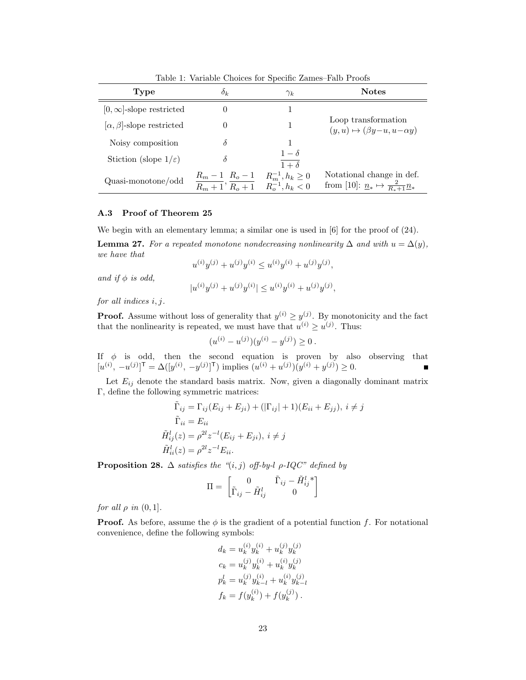| <b>Type</b>                         | $\delta_k$                                                     | $\gamma_k$                                           | <b>Notes</b>                                                                                            |
|-------------------------------------|----------------------------------------------------------------|------------------------------------------------------|---------------------------------------------------------------------------------------------------------|
| $[0,\infty]$ -slope restricted      |                                                                |                                                      |                                                                                                         |
| $[\alpha, \beta]$ -slope restricted |                                                                |                                                      | Loop transformation<br>$(y, u) \mapsto (\beta y - u, u - \alpha y)$                                     |
| Noisy composition                   |                                                                |                                                      |                                                                                                         |
| Stiction (slope $1/\varepsilon$ )   |                                                                | $1-\delta$<br>$\overline{1+\delta}$                  |                                                                                                         |
| Quasi-monotone/odd                  | $R_m - 1$ $R_o - 1$<br>$\overline{R_m+1}$ , $\overline{R_o+1}$ | $R_m^{-1}, h_k \geq 0$<br>$R_{\alpha}^{-1}, h_k < 0$ | Notational change in def.<br>from [10]: $\underline{n}_{*} \mapsto \frac{2}{R_{*}+1} \underline{n}_{*}$ |

<span id="page-22-1"></span>Table 1: Variable Choices for Specific Zames–Falb Proofs

## <span id="page-22-0"></span>A.3 Proof of Theorem [25](#page-13-1)

We begin with an elementary lemma; a similar one is used in  $[6]$  for the proof of  $(24)$ .

<span id="page-22-2"></span>**Lemma 27.** For a repeated monotone nondecreasing nonlinearity  $\Delta$  and with  $u = \Delta(y)$ , we have that

$$
u^{(i)}y^{(j)} + u^{(j)}y^{(i)} \le u^{(i)}y^{(i)} + u^{(j)}y^{(j)},
$$

and if  $\phi$  is odd,

$$
|u^{(i)}y^{(j)} + u^{(j)}y^{(i)}| \leq u^{(i)}y^{(i)} + u^{(j)}y^{(j)},
$$

for all indices i, j.

**Proof.** Assume without loss of generality that  $y^{(i)} \geq y^{(j)}$ . By monotonicity and the fact that the nonlinearity is repeated, we must have that  $u^{(i)} \ge u^{(j)}$ . Thus:

$$
(u^{(i)} - u^{(j)})(y^{(i)} - y^{(j)}) \ge 0.
$$

If  $\phi$  is odd, then the second equation is proven by also observing that  $[u^{(i)}, -u^{(j)}]^\mathsf{T} = \Delta([y^{(i)}, -y^{(j)}]^\mathsf{T})$  implies  $(u^{(i)} + u^{(j)})(y^{(i)} + y^{(j)}) \geq 0$ .

Let  $E_{ij}$  denote the standard basis matrix. Now, given a diagonally dominant matrix Γ, define the following symmetric matrices:

$$
\tilde{\Gamma}_{ij} = \Gamma_{ij}(E_{ij} + E_{ji}) + (|\Gamma_{ij}| + 1)(E_{ii} + E_{jj}), \ i \neq j
$$
\n
$$
\tilde{\Gamma}_{ii} = E_{ii}
$$
\n
$$
\tilde{H}_{ij}^l(z) = \rho^{2l} z^{-l} (E_{ij} + E_{ji}), \ i \neq j
$$
\n
$$
\tilde{H}_{ii}^l(z) = \rho^{2l} z^{-l} E_{ii}.
$$

**Proposition 28.**  $\Delta$  satisfies the "(i, j) off-by-l  $\rho$ -IQC" defined by

$$
\Pi = \begin{bmatrix} 0 & \tilde{\Gamma}_{ij} - \tilde{H}_{ij}^l \\ \tilde{\Gamma}_{ij} - \tilde{H}_{ij}^l & 0 \end{bmatrix}
$$

for all  $\rho$  in  $(0, 1]$ .

**Proof.** As before, assume the  $\phi$  is the gradient of a potential function f. For notational convenience, define the following symbols:

$$
d_k = u_k^{(i)} y_k^{(i)} + u_k^{(j)} y_k^{(j)}
$$
  
\n
$$
c_k = u_k^{(j)} y_k^{(i)} + u_k^{(i)} y_k^{(j)}
$$
  
\n
$$
p_k^{(i)} = u_k^{(j)} y_{k-l}^{(i)} + u_k^{(i)} y_{k-l}^{(j)}
$$
  
\n
$$
f_k = f(y_k^{(i)}) + f(y_k^{(j)})
$$
.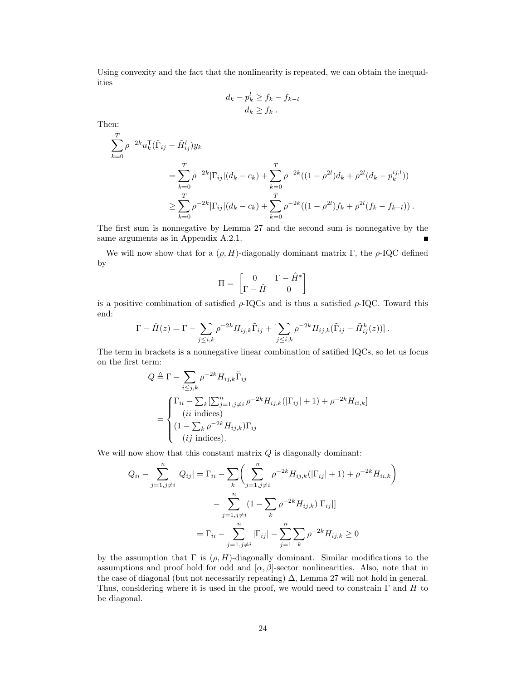Using convexity and the fact that the nonlinearity is repeated, we can obtain the inequalities

$$
d_k - p_k^l \ge f_k - f_{k-l}
$$
  

$$
d_k \ge f_k.
$$

Then:

$$
\sum_{k=0}^{T} \rho^{-2k} u_k^{\mathsf{T}} (\tilde{\Gamma}_{ij} - \tilde{H}_{ij}^l) y_k
$$
\n
$$
= \sum_{k=0}^{T} \rho^{-2k} |\Gamma_{ij}| (d_k - c_k) + \sum_{k=0}^{T} \rho^{-2k} ((1 - \rho^{2l}) d_k + \rho^{2l} (d_k - p_k^{ij,l}))
$$
\n
$$
\geq \sum_{k=0}^{T} \rho^{-2k} |\Gamma_{ij}| (d_k - c_k) + \sum_{k=0}^{T} \rho^{-2k} ((1 - \rho^{2l}) f_k + \rho^{2l} (f_k - f_{k-l})).
$$

The first sum is nonnegative by Lemma [27](#page-22-2) and the second sum is nonnegative by the same arguments as in Appendix [A.2.1.](#page-19-5)

We will now show that for a  $(\rho, H)$ -diagonally dominant matrix Γ, the  $\rho$ -IQC defined by

$$
\Pi = \begin{bmatrix} 0 & \Gamma - \hat{H}^* \\ \Gamma - \hat{H} & 0 \end{bmatrix}
$$

is a positive combination of satisfied  $\rho$ -IQCs and is thus a satisfied  $\rho$ -IQC. Toward this end:

$$
\Gamma - \hat{H}(z) = \Gamma - \sum_{j \leq i,k} \rho^{-2k} H_{ij,k} \tilde{\Gamma}_{ij} + \left[ \sum_{j \leq i,k} \rho^{-2k} H_{ij,k} (\tilde{\Gamma}_{ij} - \tilde{H}_{ij}^k(z)) \right].
$$

The term in brackets is a nonnegative linear combination of satified IQCs, so let us focus on the first term:

$$
Q \triangleq \Gamma - \sum_{i \le j,k} \rho^{-2k} H_{ij,k} \tilde{\Gamma}_{ij}
$$
  
= 
$$
\begin{cases} \Gamma_{ii} - \sum_{k} \left[ \sum_{j=1, j \ne i}^{n} \rho^{-2k} H_{ij,k}(|\Gamma_{ij}| + 1) + \rho^{-2k} H_{ii,k} \right] \\ (ii \text{ indices}) \\ (1 - \sum_{k} \rho^{-2k} H_{ij,k}) \Gamma_{ij} \\ (ij \text{ indices}). \end{cases}
$$

We will now show that this constant matrix  $Q$  is diagonally dominant:

$$
Q_{ii} - \sum_{j=1, j \neq i}^{n} |Q_{ij}| = \Gamma_{ii} - \sum_{k} \left( \sum_{j=1, j \neq i}^{n} \rho^{-2k} H_{ij,k}(|\Gamma_{ij}| + 1) + \rho^{-2k} H_{ii,k} \right) - \sum_{j=1, j \neq i}^{n} (1 - \sum_{k} \rho^{-2k} H_{ij,k}) |\Gamma_{ij}|
$$

$$
= \Gamma_{ii} - \sum_{j=1, j \neq i}^{n} |\Gamma_{ij}| - \sum_{j=1}^{n} \sum_{k} \rho^{-2k} H_{ij,k} \ge 0
$$

by the assumption that  $\Gamma$  is  $(\rho, H)$ -diagonally dominant. Similar modifications to the assumptions and proof hold for odd and  $[\alpha, \beta]$ -sector nonlinearities. Also, note that in the case of diagonal (but not necessarily repeating)  $\Delta$ , Lemma [27](#page-22-2) will not hold in general. Thus, considering where it is used in the proof, we would need to constrain  $\Gamma$  and H to be diagonal.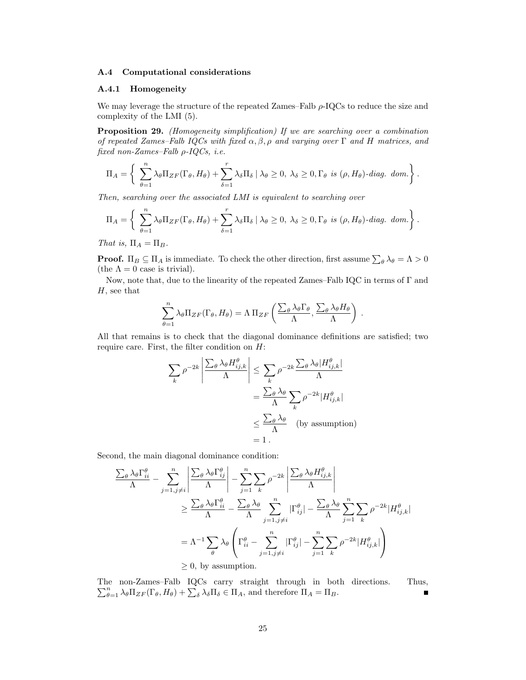## <span id="page-24-0"></span>A.4 Computational considerations

## A.4.1 Homogeneity

We may leverage the structure of the repeated Zames–Falb  $\rho$ -IQCs to reduce the size and complexity of the LMI [\(5\)](#page-6-0).

Proposition 29. (Homogeneity simplification) If we are searching over a combination of repeated Zames–Falb IQCs with fixed  $\alpha, \beta, \rho$  and varying over  $\Gamma$  and H matrices, and fixed non-Zames–Falb  $\rho$ -IQCs, i.e.

$$
\Pi_A = \left\{ \sum_{\theta=1}^n \lambda_{\theta} \Pi_{ZF}(\Gamma_{\theta}, H_{\theta}) + \sum_{\delta=1}^r \lambda_{\delta} \Pi_{\delta} \mid \lambda_{\theta} \ge 0, \lambda_{\delta} \ge 0, \Gamma_{\theta} \text{ is } (\rho, H_{\theta}) \text{-diag. dom.} \right\}.
$$

Then, searching over the associated LMI is equivalent to searching over

$$
\Pi_A = \left\{ \sum_{\theta=1}^n \lambda_{\theta} \Pi_{ZF}(\Gamma_{\theta}, H_{\theta}) + \sum_{\delta=1}^r \lambda_{\delta} \Pi_{\delta} \mid \lambda_{\theta} \ge 0, \lambda_{\delta} \ge 0, \Gamma_{\theta} \text{ is } (\rho, H_{\theta}) \text{-diag. dom.} \right\}.
$$

That is,  $\Pi_A = \Pi_B$ .

**Proof.**  $\Pi_B \subseteq \Pi_A$  is immediate. To check the other direction, first assume  $\sum_{\theta} \lambda_{\theta} = \Lambda > 0$ (the  $\Lambda = 0$  case is trivial).

Now, note that, due to the linearity of the repeated Zames–Falb IQC in terms of Γ and H, see that

$$
\sum_{\theta=1}^n \lambda_{\theta} \Pi_{ZF}(\Gamma_{\theta}, H_{\theta}) = \Lambda \Pi_{ZF} \left( \frac{\sum_{\theta} \lambda_{\theta} \Gamma_{\theta}}{\Lambda}, \frac{\sum_{\theta} \lambda_{\theta} H_{\theta}}{\Lambda} \right) .
$$

All that remains is to check that the diagonal dominance definitions are satisfied; two require care. First, the filter condition on  $H$ :

$$
\sum_{k} \rho^{-2k} \left| \frac{\sum_{\theta} \lambda_{\theta} H_{ij,k}^{\theta}}{\Lambda} \right| \leq \sum_{k} \rho^{-2k} \frac{\sum_{\theta} \lambda_{\theta} |H_{ij,k}^{\theta}|}{\Lambda}
$$

$$
= \frac{\sum_{\theta} \lambda_{\theta}}{\Lambda} \sum_{k} \rho^{-2k} |H_{ij,k}^{\theta}|
$$

$$
\leq \frac{\sum_{\theta} \lambda_{\theta}}{\Lambda} \quad \text{(by assumption)}
$$

$$
= 1.
$$

Second, the main diagonal dominance condition:

$$
\frac{\sum_{\theta} \lambda_{\theta} \Gamma_{ii}^{\theta}}{\Lambda} - \sum_{j=1, j \neq i}^{n} \left| \frac{\sum_{\theta} \lambda_{\theta} \Gamma_{ij}^{\theta}}{\Lambda} \right| - \sum_{j=1}^{n} \sum_{k} \rho^{-2k} \left| \frac{\sum_{\theta} \lambda_{\theta} H_{ij,k}^{\theta}}{\Lambda} \right|
$$
  
\n
$$
\geq \frac{\sum_{\theta} \lambda_{\theta} \Gamma_{ii}^{\theta}}{\Lambda} - \frac{\sum_{\theta} \lambda_{\theta}}{\Lambda} \sum_{j=1, j \neq i}^{n} |\Gamma_{ij}^{\theta}| - \frac{\sum_{\theta} \lambda_{\theta}}{\Lambda} \sum_{j=1}^{n} \sum_{k} \rho^{-2k} |H_{ij,k}^{\theta}|
$$
  
\n
$$
= \Lambda^{-1} \sum_{\theta} \lambda_{\theta} \left( \Gamma_{ii}^{\theta} - \sum_{j=1, j \neq i}^{n} |\Gamma_{ij}^{\theta}| - \sum_{j=1}^{n} \sum_{k} \rho^{-2k} |H_{ij,k}^{\theta}| \right)
$$
  
\n
$$
\geq 0, \text{ by assumption.}
$$

The non-Zames–Falb IQCs carry straight through in both directions. Thus,  $\sum_{\theta=1}^n \lambda_{\theta} \Pi_{ZF}(\Gamma_{\theta}, H_{\theta}) + \sum_{\delta} \lambda_{\delta} \Pi_{\delta} \in \Pi_A$ , and therefore  $\Pi_A = \Pi_B$ .  $\blacksquare$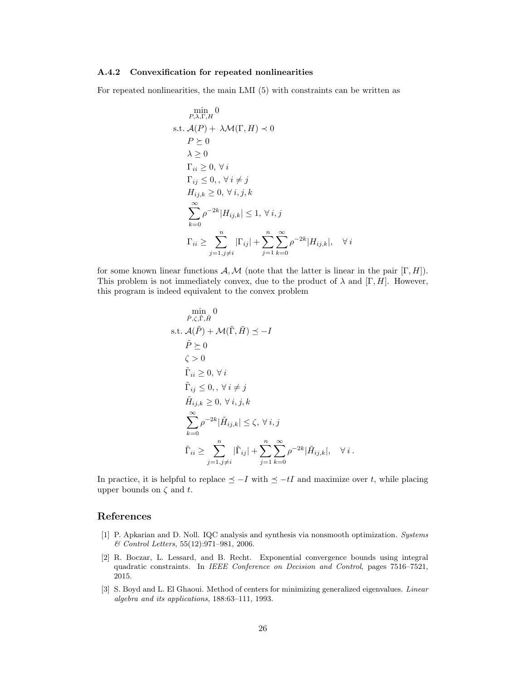## A.4.2 Convexification for repeated nonlinearities

For repeated nonlinearities, the main LMI [\(5\)](#page-6-0) with constraints can be written as

$$
\min_{P,\lambda,\Gamma,H} 0
$$
\ns.t.  $\mathcal{A}(P) + \lambda \mathcal{M}(\Gamma, H) \prec 0$   
\n $P \succeq 0$   
\n $\lambda \geq 0$   
\n $\Gamma_{ii} \geq 0, \forall i$   
\n $\Gamma_{ij} \leq 0, \forall i \neq j$   
\n $H_{ij,k} \geq 0, \forall i, j, k$   
\n
$$
\sum_{k=0}^{\infty} \rho^{-2k} |H_{ij,k}| \leq 1, \forall i, j
$$
  
\n $\Gamma_{ii} \geq \sum_{j=1, j \neq i}^{n} |\Gamma_{ij}| + \sum_{j=1}^{n} \sum_{k=0}^{\infty} \rho^{-2k} |H_{ij,k}|,$ 

for some known linear functions  $\mathcal{A}, \mathcal{M}$  (note that the latter is linear in the pair  $[\Gamma, H]$ ). This problem is not immediately convex, due to the product of  $\lambda$  and  $[\Gamma, H]$ . However, this program is indeed equivalent to the convex problem

 $\forall i$ 

$$
\min_{\tilde{P}, \zeta, \tilde{\Gamma}, \tilde{H}} 0
$$
\ns.t.  $\mathcal{A}(\tilde{P}) + \mathcal{M}(\tilde{\Gamma}, \tilde{H}) \le -I$   
\n $\tilde{P} \succeq 0$   
\n $\zeta > 0$   
\n $\tilde{\Gamma}_{ii} \ge 0, \forall i$   
\n $\tilde{\Gamma}_{ij} \le 0, \forall i \ne j$   
\n $\tilde{H}_{ij,k} \ge 0, \forall i, j, k$   
\n
$$
\sum_{k=0}^{\infty} \rho^{-2k} |\tilde{H}_{ij,k}| \le \zeta, \forall i, j
$$
  
\n $\tilde{\Gamma}_{ii} \ge \sum_{j=1, j \ne i}^n |\tilde{\Gamma}_{ij}| + \sum_{j=1}^n \sum_{k=0}^{\infty} \rho^{-2k} |\tilde{H}_{ij,k}|, \forall i.$ 

In practice, it is helpful to replace  $\leq -I$  with  $\leq -tI$  and maximize over t, while placing upper bounds on  $\zeta$  and  $t$ .

# References

- <span id="page-25-2"></span>[1] P. Apkarian and D. Noll. IQC analysis and synthesis via nonsmooth optimization. Systems & Control Letters, 55(12):971–981, 2006.
- <span id="page-25-0"></span>[2] R. Boczar, L. Lessard, and B. Recht. Exponential convergence bounds using integral quadratic constraints. In IEEE Conference on Decision and Control, pages 7516–7521, 2015.
- <span id="page-25-1"></span>[3] S. Boyd and L. El Ghaoui. Method of centers for minimizing generalized eigenvalues. Linear algebra and its applications, 188:63–111, 1993.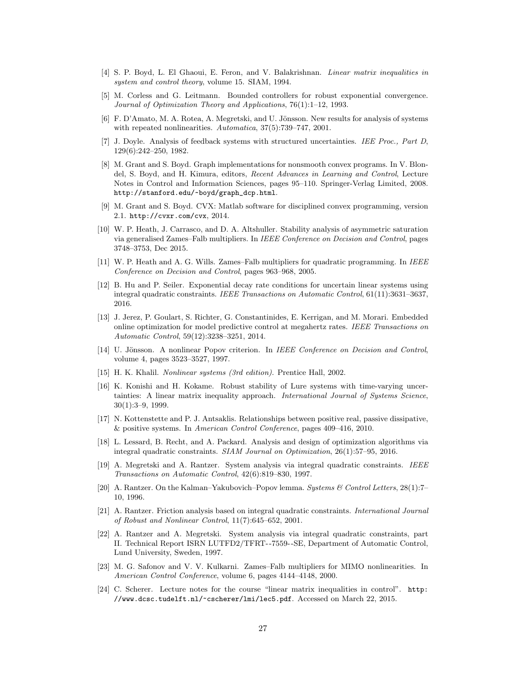- <span id="page-26-12"></span>[4] S. P. Boyd, L. El Ghaoui, E. Feron, and V. Balakrishnan. Linear matrix inequalities in system and control theory, volume 15. SIAM, 1994.
- <span id="page-26-6"></span>[5] M. Corless and G. Leitmann. Bounded controllers for robust exponential convergence. Journal of Optimization Theory and Applications, 76(1):1–12, 1993.
- <span id="page-26-16"></span>[6] F. D'Amato, M. A. Rotea, A. Megretski, and U. Jönsson. New results for analysis of systems with repeated nonlinearities. Automatica,  $37(5)$ :739–747, 2001.
- <span id="page-26-1"></span>[7] J. Doyle. Analysis of feedback systems with structured uncertainties. IEE Proc., Part D, 129(6):242–250, 1982.
- <span id="page-26-17"></span>[8] M. Grant and S. Boyd. Graph implementations for nonsmooth convex programs. In V. Blondel, S. Boyd, and H. Kimura, editors, Recent Advances in Learning and Control, Lecture Notes in Control and Information Sciences, pages 95–110. Springer-Verlag Limited, 2008. [http://stanford.edu/~boyd/graph\\_dcp.html](http://stanford.edu/~boyd/graph_dcp.html).
- <span id="page-26-18"></span>[9] M. Grant and S. Boyd. CVX: Matlab software for disciplined convex programming, version 2.1. <http://cvxr.com/cvx>, 2014.
- <span id="page-26-15"></span>[10] W. P. Heath, J. Carrasco, and D. A. Altshuller. Stability analysis of asymmetric saturation via generalised Zames–Falb multipliers. In IEEE Conference on Decision and Control, pages 3748–3753, Dec 2015.
- <span id="page-26-13"></span>[11] W. P. Heath and A. G. Wills. Zames–Falb multipliers for quadratic programming. In IEEE Conference on Decision and Control, pages 963–968, 2005.
- <span id="page-26-9"></span>[12] B. Hu and P. Seiler. Exponential decay rate conditions for uncertain linear systems using integral quadratic constraints. IEEE Transactions on Automatic Control, 61(11):3631–3637, 2016.
- <span id="page-26-3"></span>[13] J. Jerez, P. Goulart, S. Richter, G. Constantinides, E. Kerrigan, and M. Morari. Embedded online optimization for model predictive control at megahertz rates. IEEE Transactions on Automatic Control, 59(12):3238–3251, 2014.
- <span id="page-26-8"></span>[14] U. Jönsson. A nonlinear Popov criterion. In IEEE Conference on Decision and Control, volume 4, pages 3523–3527, 1997.
- <span id="page-26-19"></span>[15] H. K. Khalil. Nonlinear systems (3rd edition). Prentice Hall, 2002.
- <span id="page-26-7"></span>[16] K. Konishi and H. Kokame. Robust stability of Lure systems with time-varying uncertainties: A linear matrix inequality approach. International Journal of Systems Science, 30(1):3–9, 1999.
- <span id="page-26-4"></span>[17] N. Kottenstette and P. J. Antsaklis. Relationships between positive real, passive dissipative, & positive systems. In American Control Conference, pages 409–416, 2010.
- <span id="page-26-2"></span>[18] L. Lessard, B. Recht, and A. Packard. Analysis and design of optimization algorithms via integral quadratic constraints. SIAM Journal on Optimization, 26(1):57–95, 2016.
- <span id="page-26-0"></span>[19] A. Megretski and A. Rantzer. System analysis via integral quadratic constraints. IEEE Transactions on Automatic Control, 42(6):819–830, 1997.
- <span id="page-26-11"></span>[20] A. Rantzer. On the Kalman–Yakubovich–Popov lemma. Systems & Control Letters, 28(1):7– 10, 1996.
- <span id="page-26-14"></span>[21] A. Rantzer. Friction analysis based on integral quadratic constraints. International Journal of Robust and Nonlinear Control, 11(7):645–652, 2001.
- <span id="page-26-5"></span>[22] A. Rantzer and A. Megretski. System analysis via integral quadratic constraints, part II. Technical Report ISRN LUTFD2/TFRT- -7559- -SE, Department of Automatic Control, Lund University, Sweden, 1997.
- <span id="page-26-10"></span>[23] M. G. Safonov and V. V. Kulkarni. Zames–Falb multipliers for MIMO nonlinearities. In American Control Conference, volume 6, pages 4144–4148, 2000.
- <span id="page-26-20"></span>[24] C. Scherer. Lecture notes for the course "linear matrix inequalities in control". [http:](http://www.dcsc.tudelft.nl/~cscherer/lmi/lec5.pdf) [//www.dcsc.tudelft.nl/~cscherer/lmi/lec5.pdf](http://www.dcsc.tudelft.nl/~cscherer/lmi/lec5.pdf). Accessed on March 22, 2015.